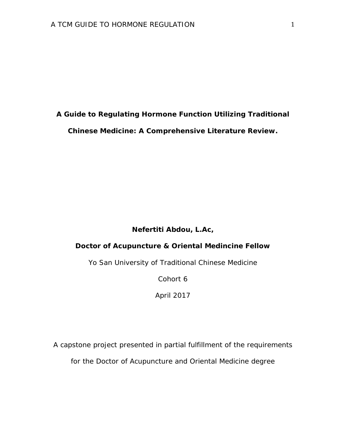**A Guide to Regulating Hormone Function Utilizing Traditional Chinese Medicine: A Comprehensive Literature Review.**

# **Nefertiti Abdou, L.Ac,**

# **Doctor of Acupuncture & Oriental Medincine Fellow**

Yo San University of Traditional Chinese Medicine

Cohort 6

April 2017

A capstone project presented in partial fulfillment of the requirements for the Doctor of Acupuncture and Oriental Medicine degree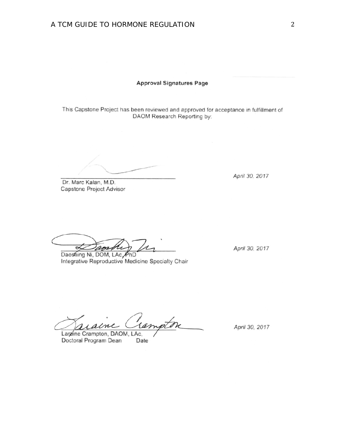#### **Approval Signatures Page**

This Capstone Project has been reviewed and approved for acceptance in fulfillment of DAOM Research Reporting by:

Dr. Marc Kalan, M.D. Capstone Project Advisor

April 30, 2017

 $\lambda$  $\propto$ work

Daoshing Ni, DOM, LAc PhD Integrative Reproductive Medicine Specialty Chair

April 30, 2017

rtm em

Laraine Crampton, DAOM, LAc, Doctoral Program Dean Date

April 30, 2017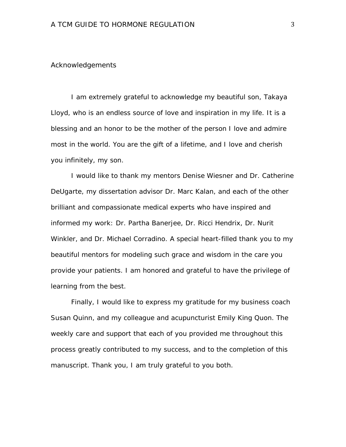### Acknowledgements

I am extremely grateful to acknowledge my beautiful son, Takaya Lloyd, who is an endless source of love and inspiration in my life. It is a blessing and an honor to be the mother of the person I love and admire most in the world. You are the gift of a lifetime, and I love and cherish you infinitely, my son.

I would like to thank my mentors Denise Wiesner and Dr. Catherine DeUgarte, my dissertation advisor Dr. Marc Kalan, and each of the other brilliant and compassionate medical experts who have inspired and informed my work: Dr. Partha Banerjee, Dr. Ricci Hendrix, Dr. Nurit Winkler, and Dr. Michael Corradino. A special heart-filled thank you to my beautiful mentors for modeling such grace and wisdom in the care you provide your patients. I am honored and grateful to have the privilege of learning from the best.

Finally, I would like to express my gratitude for my business coach Susan Quinn, and my colleague and acupuncturist Emily King Quon. The weekly care and support that each of you provided me throughout this process greatly contributed to my success, and to the completion of this manuscript. Thank you, I am truly grateful to you both.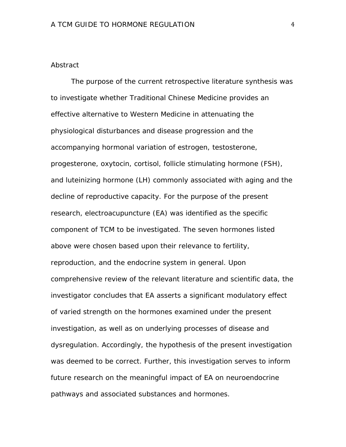### **Abstract**

The purpose of the current retrospective literature synthesis was to investigate whether Traditional Chinese Medicine provides an effective alternative to Western Medicine in attenuating the physiological disturbances and disease progression and the accompanying hormonal variation of estrogen, testosterone, progesterone, oxytocin, cortisol, follicle stimulating hormone (FSH), and luteinizing hormone (LH) commonly associated with aging and the decline of reproductive capacity. For the purpose of the present research, electroacupuncture (EA) was identified as the specific component of TCM to be investigated. The seven hormones listed above were chosen based upon their relevance to fertility, reproduction, and the endocrine system in general. Upon comprehensive review of the relevant literature and scientific data, the investigator concludes that EA asserts a significant modulatory effect of varied strength on the hormones examined under the present investigation, as well as on underlying processes of disease and dysregulation. Accordingly, the hypothesis of the present investigation was deemed to be correct. Further, this investigation serves to inform future research on the meaningful impact of EA on neuroendocrine pathways and associated substances and hormones.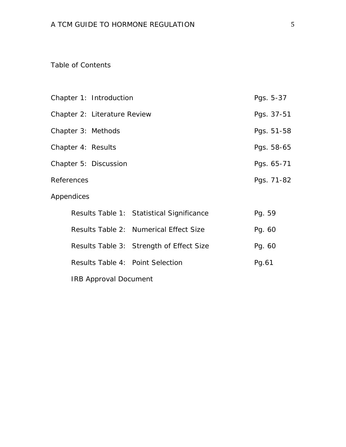# Table of Contents

| Chapter 1: Introduction          |                                           |            |
|----------------------------------|-------------------------------------------|------------|
| Chapter 2: Literature Review     |                                           | Pgs. 37-51 |
| Chapter 3: Methods               |                                           | Pgs. 51-58 |
| Chapter 4: Results               |                                           | Pgs. 58-65 |
| Chapter 5: Discussion            |                                           | Pgs. 65-71 |
| References                       |                                           | Pgs. 71-82 |
| Appendices                       |                                           |            |
|                                  | Results Table 1: Statistical Significance | Pg. 59     |
|                                  | Results Table 2: Numerical Effect Size    | Pg. 60     |
|                                  | Results Table 3: Strength of Effect Size  | Pg. 60     |
| Results Table 4: Point Selection |                                           | Pg.61      |
| <b>IRB Approval Document</b>     |                                           |            |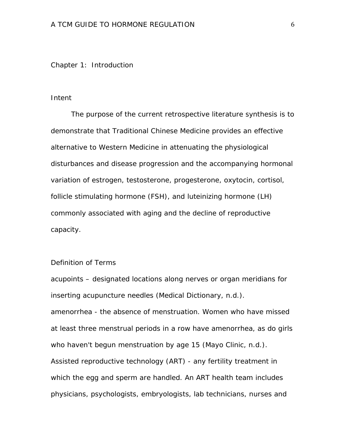Chapter 1: Introduction

### Intent

The purpose of the current retrospective literature synthesis is to demonstrate that Traditional Chinese Medicine provides an effective alternative to Western Medicine in attenuating the physiological disturbances and disease progression and the accompanying hormonal variation of estrogen, testosterone, progesterone, oxytocin, cortisol, follicle stimulating hormone (FSH), and luteinizing hormone (LH) commonly associated with aging and the decline of reproductive capacity.

### Definition of Terms

acupoints – designated locations along nerves or organ meridians for inserting acupuncture needles (Medical Dictionary, n.d.). amenorrhea - the absence of menstruation. Women who have missed at least three menstrual periods in a row have amenorrhea, as do girls who haven't begun menstruation by age 15 (Mayo Clinic, n.d.). Assisted reproductive technology (ART) - any fertility treatment in which the egg and sperm are handled. An ART health team includes physicians, psychologists, embryologists, lab technicians, nurses and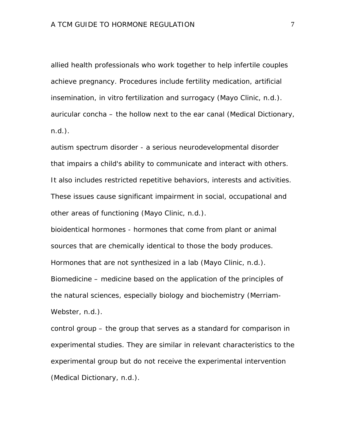allied health professionals who work together to help infertile couples achieve pregnancy. Procedures include fertility medication, artificial insemination, in vitro fertilization and surrogacy (Mayo Clinic, n.d.). auricular concha – the hollow next to the ear canal (Medical Dictionary, n.d.).

autism spectrum disorder - a serious neurodevelopmental disorder that impairs a child's ability to communicate and interact with others. It also includes restricted repetitive behaviors, interests and activities. These issues cause significant impairment in social, occupational and other areas of functioning (Mayo Clinic, n.d.).

bioidentical hormones - hormones that come from plant or animal sources that are chemically identical to those the body produces. Hormones that are not synthesized in a lab (Mayo Clinic, n.d.). Biomedicine – medicine based on the application of the principles of the natural sciences, especially biology and biochemistry (Merriam-Webster, n.d.).

control group – the group that serves as a standard for comparison in experimental studies. They are similar in relevant characteristics to the experimental group but do not receive the experimental intervention (Medical Dictionary, n.d.).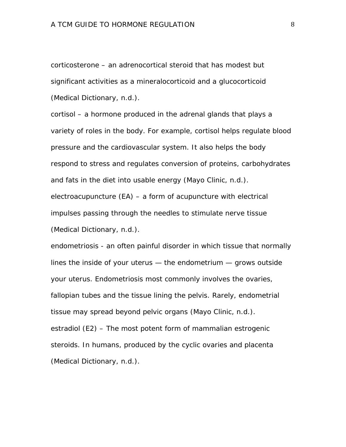corticosterone – an adrenocortical steroid that has modest but significant activities as a mineralocorticoid and a glucocorticoid (Medical Dictionary, n.d.).

cortisol – a hormone produced in the adrenal glands that plays a variety of roles in the body. For example, cortisol helps regulate blood pressure and the cardiovascular system. It also helps the body respond to stress and regulates conversion of proteins, carbohydrates and fats in the diet into usable energy (Mayo Clinic, n.d.). electroacupuncture (EA) – a form of acupuncture with electrical impulses passing through the needles to stimulate nerve tissue (Medical Dictionary, n.d.).

endometriosis - an often painful disorder in which tissue that normally lines the inside of your uterus — the endometrium — grows outside your uterus. Endometriosis most commonly involves the ovaries, fallopian tubes and the tissue lining the pelvis. Rarely, endometrial tissue may spread beyond pelvic organs (Mayo Clinic, n.d.). estradiol (E2) – The most potent form of mammalian estrogenic steroids. In humans, produced by the cyclic ovaries and placenta (Medical Dictionary, n.d.).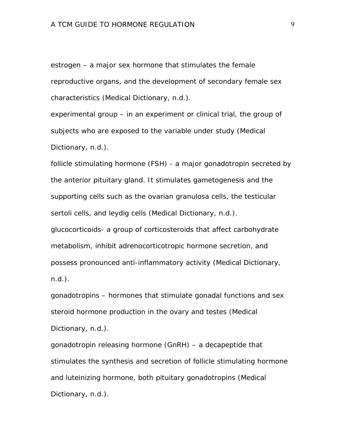estrogen – a major sex hormone that stimulates the female reproductive organs, and the development of secondary female sex characteristics (Medical Dictionary, n.d.).

experimental group – in an experiment or clinical trial, the group of subjects who are exposed to the variable under study (Medical Dictionary, n.d.).

follicle stimulating hormone (FSH) - a major [gonadotropin](http://www.online-medical-dictionary.org/definitions-g/gonadotropin.html) secreted by the anterior pituitary gland. It stimulates [gametogenesis](http://www.online-medical-dictionary.org/definitions-g/gametogenesis.html) and the supporting [cells](http://www.online-medical-dictionary.org/definitions-c/cells.html) such as the ovarian granulosa cells, the testicular [sertoli cells,](http://www.online-medical-dictionary.org/definitions-s/sertoli-cells.html) and [leydig cells](http://www.online-medical-dictionary.org/definitions-l/leydig-cells.html) (Medical Dictionary, n.d.). glucocorticoids- a group of corticosteroids that affect carbohydrate metabolism, inhibit adrenocorticotropic hormone secretion, and possess pronounced anti-inflammatory activity (Medical Dictionary, n.d.).

gonadotropins – hormones that stimulate gonadal functions and sex steroid hormone production in the ovary and testes (Medical Dictionary, n.d.).

gonadotropin releasing hormone (GnRH) – a decapeptide that stimulates the synthesis and secretion of follicle stimulating hormone and luteinizing hormone, both pituitary gonadotropins (Medical Dictionary, n.d.).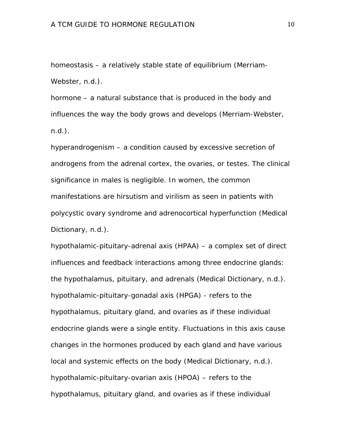homeostasis – a relatively stable state of equilibrium (Merriam-Webster, n.d.).

hormone – a natural substance that is produced in the body and influences the way the body grows and develops (Merriam-Webster, n.d.).

hyperandrogenism – a condition caused by excessive secretion of androgens from the adrenal cortex, the ovaries, or testes. The clinical significance in males is negligible. In women, the common manifestations are hirsutism and virilism as seen in patients with polycystic ovary syndrome and adrenocortical hyperfunction (Medical Dictionary, n.d.).

hypothalamic-pituitary-adrenal axis (HPAA) – a complex set of direct influences and feedback interactions among three endocrine glands: the hypothalamus, pituitary, and adrenals (Medical Dictionary, n.d.). hypothalamic-pituitary-gonadal axis (HPGA) - refers to the hypothalamus, pituitary gland, and ovaries as if these individual endocrine glands were a single entity. Fluctuations in this axis cause changes in the hormones produced by each gland and have various local and systemic effects on the body (Medical Dictionary, n.d.). hypothalamic-pituitary-ovarian axis (HPOA) – refers to the hypothalamus, pituitary gland, and ovaries as if these individual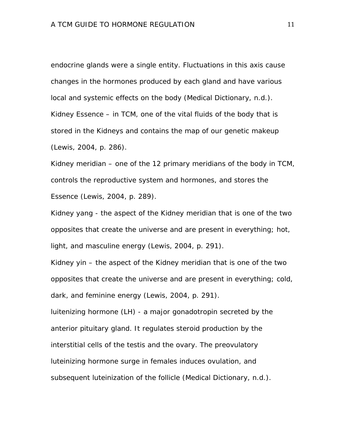endocrine glands were a single entity. Fluctuations in this axis cause changes in the hormones produced by each gland and have various local and systemic effects on the body (Medical Dictionary, n.d.). Kidney Essence – in TCM, one of the vital fluids of the body that is stored in the Kidneys and contains the map of our genetic makeup (Lewis, 2004, p. 286).

Kidney meridian – one of the 12 primary meridians of the body in TCM, controls the reproductive system and hormones, and stores the Essence (Lewis, 2004, p. 289).

Kidney yang - the aspect of the Kidney meridian that is one of the two opposites that create the universe and are present in everything; hot, light, and masculine energy (Lewis, 2004, p. 291).

Kidney yin – the aspect of the Kidney meridian that is one of the two opposites that create the universe and are present in everything; cold, dark, and feminine energy (Lewis, 2004, p. 291).

luitenizing hormone (LH) - a major [gonadotropin](http://www.online-medical-dictionary.org/definitions-g/gonadotropin.html) secreted by the anterior pituitary gland. It regulates steroid production by the interstitial [cells](http://www.online-medical-dictionary.org/definitions-c/cells.html) of the [testis](http://www.online-medical-dictionary.org/definitions-t/testis.html) and the [ovary.](http://www.online-medical-dictionary.org/definitions-o/ovary.html) The preovulatory luteinizing [hormone](http://www.online-medical-dictionary.org/definitions-h/hormone.html) surge in females induces [ovulation,](http://www.online-medical-dictionary.org/definitions-o/ovulation.html) and subsequent [luteinization](http://www.online-medical-dictionary.org/definitions-l/luteinization.html) of the follicle (Medical Dictionary, n.d.).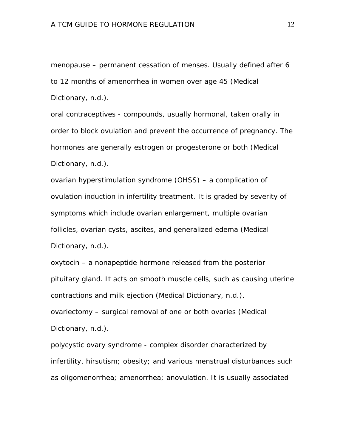menopause – permanent cessation of menses. Usually defined after 6 to 12 months of amenorrhea in women over age 45 (Medical Dictionary, n.d.).

oral contraceptives - compounds, usually hormonal, taken orally in order to block [ovulation](http://www.online-medical-dictionary.org/definitions-o/ovulation.html) and prevent the occurrence of [pregnancy.](http://www.online-medical-dictionary.org/definitions-p/pregnancy.html) The [hormones](http://www.online-medical-dictionary.org/definitions-h/hormones.html) are generally [estrogen](http://www.online-medical-dictionary.org/definitions-e/estrogen.html) or [progesterone](http://www.online-medical-dictionary.org/definitions-p/progesterone.html) or both (Medical Dictionary, n.d.).

ovarian hyperstimulation syndrome (OHSS) – a complication of ovulation induction in infertility treatment. It is graded by severity of symptoms which include ovarian enlargement, multiple ovarian follicles, ovarian cysts, ascites, and generalized edema (Medical Dictionary, n.d.).

oxytocin – a nonapeptide [hormone](http://www.online-medical-dictionary.org/definitions-h/hormone.html) released from the posterior pituitary gland. It acts on [smooth muscle cells,](http://www.online-medical-dictionary.org/definitions-s/smooth-muscle-cells.html) such as causing [uterine](http://www.online-medical-dictionary.org/definitions-u/uterine-contractions.html)  [contractions](http://www.online-medical-dictionary.org/definitions-u/uterine-contractions.html) and [milk ejection](http://www.online-medical-dictionary.org/definitions-m/milk-ejection.html) (Medical Dictionary, n.d.). ovariectomy – surgical removal of one or both ovaries (Medical Dictionary, n.d.).

polycystic ovary syndrome - complex disorder characterized by [infertility,](http://www.online-medical-dictionary.org/definitions-i/infertility.html) [hirsutism;](http://www.online-medical-dictionary.org/definitions-h/hirsutism.html) [obesity;](http://www.online-medical-dictionary.org/definitions-o/obesity.html) and various menstrual disturbances such as [oligomenorrhea;](http://www.online-medical-dictionary.org/definitions-o/oligomenorrhea.html) [amenorrhea;](http://www.online-medical-dictionary.org/definitions-a/amenorrhea.html) [anovulation.](http://www.online-medical-dictionary.org/definitions-a/anovulation.html) It is usually associated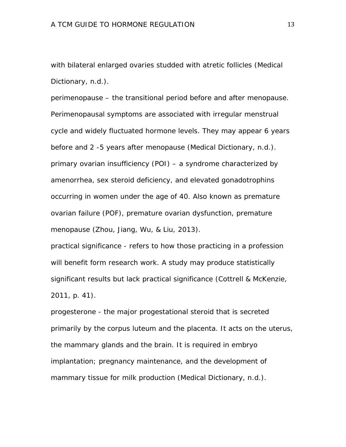with bilateral enlarged [ovaries](http://www.online-medical-dictionary.org/definitions-o/ovaries.html) studded with [atretic follicles](http://www.online-medical-dictionary.org/definitions-a/atretic-follicles.html) (Medical Dictionary, n.d.).

perimenopause – the transitional period before and after menopause. Perimenopausal symptoms are associated with irregular menstrual cycle and widely fluctuated hormone levels. They may appear 6 years before and 2 -5 years after menopause (Medical Dictionary, n.d.). primary ovarian insufficiency (POI) – a syndrome characterized by amenorrhea, sex steroid deficiency, and elevated gonadotrophins occurring in women under the age of 40. Also known as premature ovarian failure (POF), premature ovarian dysfunction, premature menopause (Zhou, Jiang, Wu, & Liu, 2013).

practical significance - refers to how those practicing in a profession will benefit form research work. A study may produce statistically significant results but lack practical significance (Cottrell & McKenzie, 2011, p. 41).

progesterone - the major progestational steroid that is secreted primarily by the [corpus luteum](http://www.online-medical-dictionary.org/definitions-c/corpus-luteum.html) and the [placenta.](http://www.online-medical-dictionary.org/definitions-p/placenta.html) It acts on the [uterus,](http://www.online-medical-dictionary.org/definitions-u/uterus.html) the [mammary glands](http://www.online-medical-dictionary.org/definitions-m/mammary-glands.html) and the [brain.](http://www.online-medical-dictionary.org/definitions-b/brain.html) It is required in [embryo](http://www.online-medical-dictionary.org/definitions-e/embryo-implantation.html)  [implantation;](http://www.online-medical-dictionary.org/definitions-e/embryo-implantation.html) [pregnancy maintenance,](http://www.online-medical-dictionary.org/definitions-p/pregnancy-maintenance.html) and the development of mammary tissue for [milk](http://www.online-medical-dictionary.org/definitions-m/milk.html) production (Medical Dictionary, n.d.).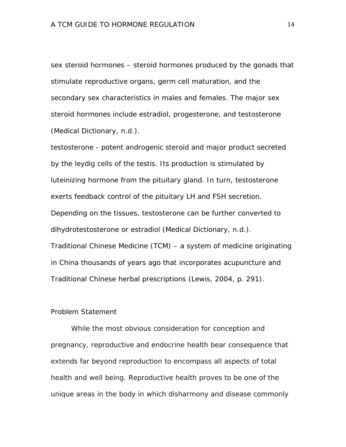sex steroid hormones – steroid hormones produced by the gonads that stimulate reproductive organs, germ cell maturation, and the secondary sex characteristics in males and females. The major sex steroid hormones include estradiol, progesterone, and testosterone (Medical Dictionary, n.d.).

testosterone - potent androgenic steroid and major product secreted by the [leydig cells](http://www.online-medical-dictionary.org/definitions-l/leydig-cells.html) of the [testis.](http://www.online-medical-dictionary.org/definitions-t/testis.html) Its production is stimulated by [luteinizing hormone](http://www.online-medical-dictionary.org/definitions-l/luteinizing-hormone.html) from the pituitary gland. In turn, testosterone exerts [feedback](http://www.online-medical-dictionary.org/definitions-f/feedback.html) control of the pituitary LH and FSH [secretion.](http://www.online-medical-dictionary.org/definitions-s/secretion.html) Depending on the [tissues,](http://www.online-medical-dictionary.org/definitions-t/tissues.html) testosterone can be further converted to dihydrotestosterone or estradiol (Medical Dictionary, n.d.). Traditional Chinese Medicine (TCM) – a system of medicine originating in China thousands of years ago that incorporates acupuncture and Traditional Chinese herbal prescriptions (Lewis, 2004, p. 291).

### Problem Statement

While the most obvious consideration for conception and pregnancy, reproductive and endocrine health bear consequence that extends far beyond reproduction to encompass all aspects of total health and well being. Reproductive health proves to be one of the unique areas in the body in which disharmony and disease commonly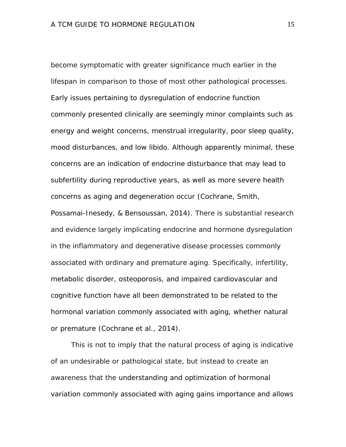become symptomatic with greater significance much earlier in the lifespan in comparison to those of most other pathological processes. Early issues pertaining to dysregulation of endocrine function commonly presented clinically are seemingly minor complaints such as energy and weight concerns, menstrual irregularity, poor sleep quality, mood disturbances, and low libido. Although apparently minimal, these concerns are an indication of endocrine disturbance that may lead to subfertility during reproductive years, as well as more severe health concerns as aging and degeneration occur (Cochrane, Smith, Possamai-Inesedy, & Bensoussan, 2014). There is substantial research and evidence largely implicating endocrine and hormone dysregulation in the inflammatory and degenerative disease processes commonly associated with ordinary and premature aging. Specifically, infertility, metabolic disorder, osteoporosis, and impaired cardiovascular and cognitive function have all been demonstrated to be related to the hormonal variation commonly associated with aging, whether natural or premature (Cochrane et al., 2014).

This is not to imply that the natural process of aging is indicative of an undesirable or pathological state, but instead to create an awareness that the understanding and optimization of hormonal variation commonly associated with aging gains importance and allows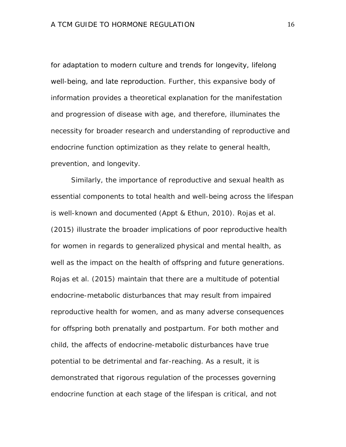for adaptation to modern culture and trends for longevity, lifelong well-being, and late reproduction. Further, this expansive body of information provides a theoretical explanation for the manifestation and progression of disease with age, and therefore, illuminates the necessity for broader research and understanding of reproductive and endocrine function optimization as they relate to general health, prevention, and longevity.

Similarly, the importance of reproductive and sexual health as essential components to total health and well-being across the lifespan is well-known and documented (Appt & Ethun, 2010). Rojas et al. (2015) illustrate the broader implications of poor reproductive health for women in regards to generalized physical and mental health, as well as the impact on the health of offspring and future generations. Rojas et al. (2015) maintain that there are a multitude of potential endocrine-metabolic disturbances that may result from impaired reproductive health for women, and as many adverse consequences for offspring both prenatally and postpartum. For both mother and child, the affects of endocrine-metabolic disturbances have true potential to be detrimental and far-reaching. As a result, it is demonstrated that rigorous regulation of the processes governing endocrine function at each stage of the lifespan is critical, and not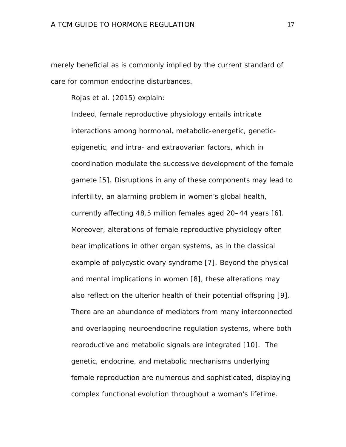merely beneficial as is commonly implied by the current standard of care for common endocrine disturbances.

Rojas et al. (2015) explain:

Indeed, female reproductive physiology entails intricate interactions among hormonal, metabolic-energetic, geneticepigenetic, and intra- and extraovarian factors, which in coordination modulate the successive development of the female gamete [5]. Disruptions in any of these components may lead to infertility, an alarming problem in women's global health, currently affecting 48.5 million females aged 20–44 years [6]. Moreover, alterations of female reproductive physiology often bear implications in other organ systems, as in the classical example of polycystic ovary syndrome [7]. Beyond the physical and mental implications in women [8], these alterations may also reflect on the ulterior health of their potential offspring [9]. There are an abundance of mediators from many interconnected and overlapping neuroendocrine regulation systems, where both reproductive and metabolic signals are integrated [10]. The genetic, endocrine, and metabolic mechanisms underlying female reproduction are numerous and sophisticated, displaying complex functional evolution throughout a woman's lifetime.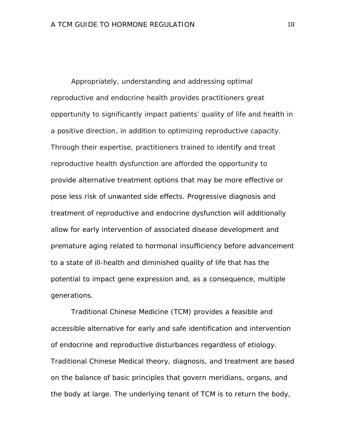Appropriately, understanding and addressing optimal reproductive and endocrine health provides practitioners great opportunity to significantly impact patients' quality of life and health in a positive direction, in addition to optimizing reproductive capacity. Through their expertise, practitioners trained to identify and treat reproductive health dysfunction are afforded the opportunity to provide alternative treatment options that may be more effective or pose less risk of unwanted side effects. Progressive diagnosis and treatment of reproductive and endocrine dysfunction will additionally allow for early intervention of associated disease development and premature aging related to hormonal insufficiency before advancement to a state of ill-health and diminished quality of life that has the potential to impact gene expression and, as a consequence, multiple generations.

Traditional Chinese Medicine (TCM) provides a feasible and accessible alternative for early and safe identification and intervention of endocrine and reproductive disturbances regardless of etiology. Traditional Chinese Medical theory, diagnosis, and treatment are based on the balance of basic principles that govern meridians, organs, and the body at large. The underlying tenant of TCM is to return the body,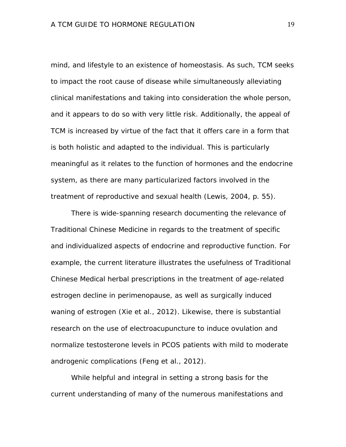mind, and lifestyle to an existence of homeostasis. As such, TCM seeks to impact the root cause of disease while simultaneously alleviating clinical manifestations and taking into consideration the whole person, and it appears to do so with very little risk. Additionally, the appeal of TCM is increased by virtue of the fact that it offers care in a form that is both holistic and adapted to the individual. This is particularly meaningful as it relates to the function of hormones and the endocrine system, as there are many particularized factors involved in the treatment of reproductive and sexual health (Lewis, 2004, p. 55).

There is wide-spanning research documenting the relevance of Traditional Chinese Medicine in regards to the treatment of specific and individualized aspects of endocrine and reproductive function. For example, the current literature illustrates the usefulness of Traditional Chinese Medical herbal prescriptions in the treatment of age-related estrogen decline in perimenopause, as well as surgically induced waning of estrogen (Xie et al., 2012). Likewise, there is substantial research on the use of electroacupuncture to induce ovulation and normalize testosterone levels in PCOS patients with mild to moderate androgenic complications (Feng et al., 2012).

While helpful and integral in setting a strong basis for the current understanding of many of the numerous manifestations and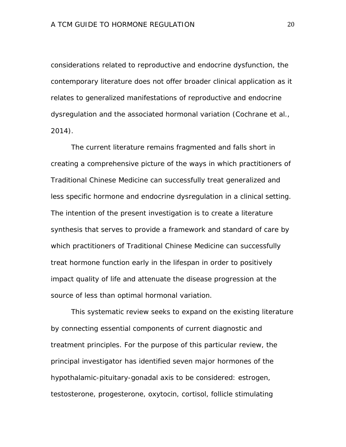considerations related to reproductive and endocrine dysfunction, the contemporary literature does not offer broader clinical application as it relates to generalized manifestations of reproductive and endocrine dysregulation and the associated hormonal variation (Cochrane et al., 2014).

The current literature remains fragmented and falls short in creating a comprehensive picture of the ways in which practitioners of Traditional Chinese Medicine can successfully treat generalized and less specific hormone and endocrine dysregulation in a clinical setting. The intention of the present investigation is to create a literature synthesis that serves to provide a framework and standard of care by which practitioners of Traditional Chinese Medicine can successfully treat hormone function early in the lifespan in order to positively impact quality of life and attenuate the disease progression at the source of less than optimal hormonal variation.

This systematic review seeks to expand on the existing literature by connecting essential components of current diagnostic and treatment principles. For the purpose of this particular review, the principal investigator has identified seven major hormones of the hypothalamic-pituitary-gonadal axis to be considered: estrogen, testosterone, progesterone, oxytocin, cortisol, follicle stimulating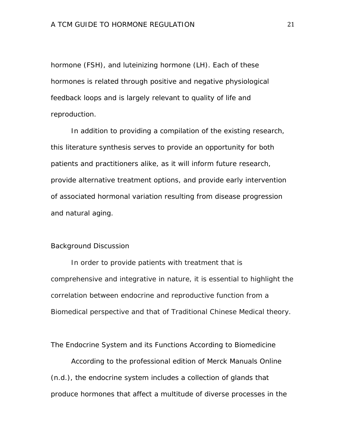hormone (FSH), and luteinizing hormone (LH). Each of these hormones is related through positive and negative physiological feedback loops and is largely relevant to quality of life and reproduction.

In addition to providing a compilation of the existing research, this literature synthesis serves to provide an opportunity for both patients and practitioners alike, as it will inform future research, provide alternative treatment options, and provide early intervention of associated hormonal variation resulting from disease progression and natural aging.

### Background Discussion

In order to provide patients with treatment that is comprehensive and integrative in nature, it is essential to highlight the correlation between endocrine and reproductive function from a Biomedical perspective and that of Traditional Chinese Medical theory.

The Endocrine System and its Functions According to Biomedicine

According to the professional edition of Merck Manuals Online (n.d.), the endocrine system includes a collection of glands that produce hormones that affect a multitude of diverse processes in the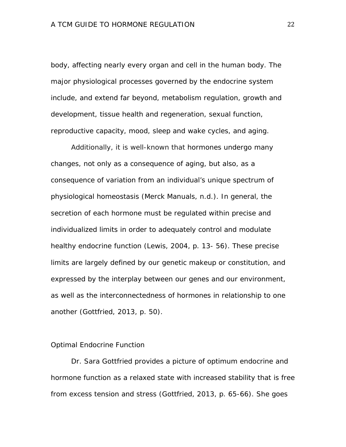body, affecting nearly every organ and cell in the human body. The major physiological processes governed by the endocrine system include, and extend far beyond, metabolism regulation, growth and development, tissue health and regeneration, sexual function, reproductive capacity, mood, sleep and wake cycles, and aging.

Additionally, it is well-known that hormones undergo many changes, not only as a consequence of aging, but also, as a consequence of variation from an individual's unique spectrum of physiological homeostasis (Merck Manuals, n.d.). In general, the secretion of each hormone must be regulated within precise and individualized limits in order to adequately control and modulate healthy endocrine function (Lewis, 2004, p. 13- 56). These precise limits are largely defined by our genetic makeup or constitution, and expressed by the interplay between our genes and our environment, as well as the interconnectedness of hormones in relationship to one another (Gottfried, 2013, p. 50).

### Optimal Endocrine Function

Dr. Sara Gottfried provides a picture of optimum endocrine and hormone function as a relaxed state with increased stability that is free from excess tension and stress (Gottfried, 2013, p. 65-66). She goes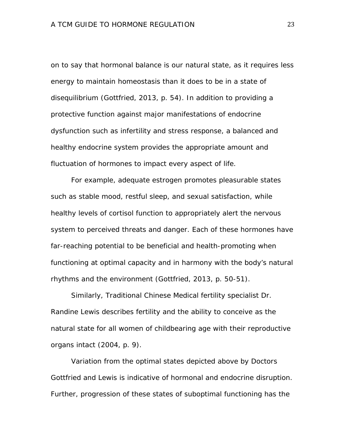on to say that hormonal balance is our natural state, as it requires less energy to maintain homeostasis than it does to be in a state of disequilibrium (Gottfried, 2013, p. 54). In addition to providing a protective function against major manifestations of endocrine dysfunction such as infertility and stress response, a balanced and healthy endocrine system provides the appropriate amount and fluctuation of hormones to impact every aspect of life.

For example, adequate estrogen promotes pleasurable states such as stable mood, restful sleep, and sexual satisfaction, while healthy levels of cortisol function to appropriately alert the nervous system to perceived threats and danger. Each of these hormones have far-reaching potential to be beneficial and health-promoting when functioning at optimal capacity and in harmony with the body's natural rhythms and the environment (Gottfried, 2013, p. 50-51).

Similarly, Traditional Chinese Medical fertility specialist Dr. Randine Lewis describes fertility and the ability to conceive as the natural state for all women of childbearing age with their reproductive organs intact (2004, p. 9).

Variation from the optimal states depicted above by Doctors Gottfried and Lewis is indicative of hormonal and endocrine disruption. Further, progression of these states of suboptimal functioning has the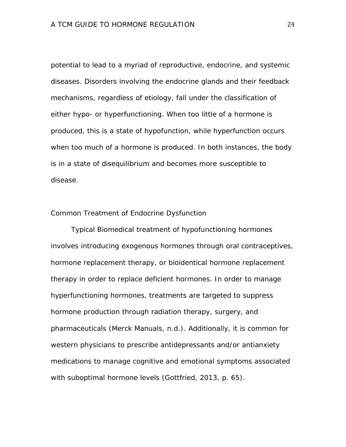potential to lead to a myriad of reproductive, endocrine, and systemic diseases. Disorders involving the endocrine glands and their feedback mechanisms, regardless of etiology, fall under the classification of either hypo- or hyperfunctioning. When too little of a hormone is produced, this is a state of hypofunction, while hyperfunction occurs when too much of a hormone is produced. In both instances, the body is in a state of disequilibrium and becomes more susceptible to disease.

#### Common Treatment of Endocrine Dysfunction

Typical Biomedical treatment of hypofunctioning hormones involves introducing exogenous hormones through oral contraceptives, hormone replacement therapy, or bioidentical hormone replacement therapy in order to replace deficient hormones. In order to manage hyperfunctioning hormones, treatments are targeted to suppress hormone production through radiation therapy, surgery, and pharmaceuticals (Merck Manuals, n.d.). Additionally, it is common for western physicians to prescribe antidepressants and/or antianxiety medications to manage cognitive and emotional symptoms associated with suboptimal hormone levels (Gottfried, 2013, p. 65).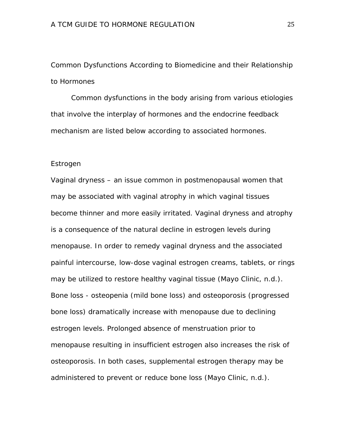Common Dysfunctions According to Biomedicine and their Relationship to Hormones

Common dysfunctions in the body arising from various etiologies that involve the interplay of hormones and the endocrine feedback mechanism are listed below according to associated hormones.

#### Estrogen

Vaginal dryness – an issue common in postmenopausal women that may be associated with vaginal atrophy in which vaginal tissues become thinner and more easily irritated. Vaginal dryness and atrophy is a consequence of the natural decline in estrogen levels during menopause. In order to remedy vaginal dryness and the associated painful intercourse, low-dose vaginal estrogen creams, tablets, or rings may be utilized to restore healthy vaginal tissue (Mayo Clinic, n.d.). Bone loss - osteopenia (mild bone loss) and osteoporosis (progressed bone loss) dramatically increase with menopause due to declining estrogen levels. Prolonged absence of menstruation prior to menopause resulting in insufficient estrogen also increases the risk of osteoporosis. In both cases, supplemental estrogen therapy may be administered to prevent or reduce bone loss (Mayo Clinic, n.d.).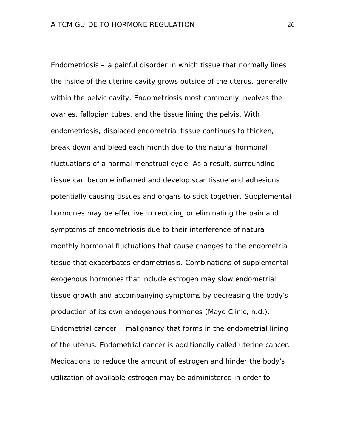Endometriosis – a painful disorder in which tissue that normally lines the inside of the uterine cavity grows outside of the uterus, generally within the pelvic cavity. Endometriosis most commonly involves the ovaries, fallopian tubes, and the tissue lining the pelvis. With endometriosis, displaced endometrial tissue continues to thicken, break down and bleed each month due to the natural hormonal fluctuations of a normal menstrual cycle. As a result, surrounding tissue can become inflamed and develop scar tissue and adhesions potentially causing tissues and organs to stick together. Supplemental hormones may be effective in reducing or eliminating the pain and symptoms of endometriosis due to their interference of natural monthly hormonal fluctuations that cause changes to the endometrial tissue that exacerbates endometriosis. Combinations of supplemental exogenous hormones that include estrogen may slow endometrial tissue growth and accompanying symptoms by decreasing the body's production of its own endogenous hormones (Mayo Clinic, n.d.). Endometrial cancer – malignancy that forms in the endometrial lining of the uterus. Endometrial cancer is additionally called uterine cancer. Medications to reduce the amount of estrogen and hinder the body's utilization of available estrogen may be administered in order to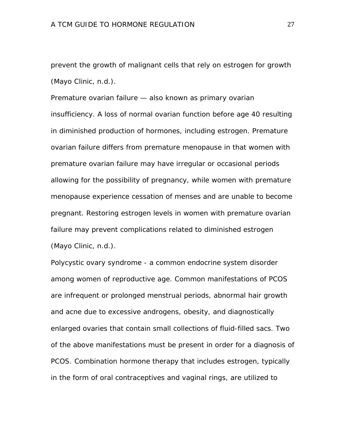prevent the growth of malignant cells that rely on estrogen for growth (Mayo Clinic, n.d.).

Premature ovarian failure — also known as primary ovarian insufficiency. A loss of normal ovarian function before age 40 resulting in diminished production of hormones, including estrogen. Premature ovarian failure differs from premature menopause in that women with premature ovarian failure may have irregular or occasional periods allowing for the possibility of pregnancy, while women with premature menopause experience cessation of menses and are unable to become pregnant. Restoring estrogen levels in women with premature ovarian failure may prevent complications related to diminished estrogen (Mayo Clinic, n.d.).

Polycystic ovary syndrome - a common endocrine system disorder among women of reproductive age. Common manifestations of PCOS are infrequent or prolonged menstrual periods, abnormal hair growth and acne due to excessive androgens, obesity, and diagnostically enlarged ovaries that contain small collections of fluid-filled sacs. Two of the above manifestations must be present in order for a diagnosis of PCOS. Combination hormone therapy that includes estrogen, typically in the form of oral contraceptives and vaginal rings, are utilized to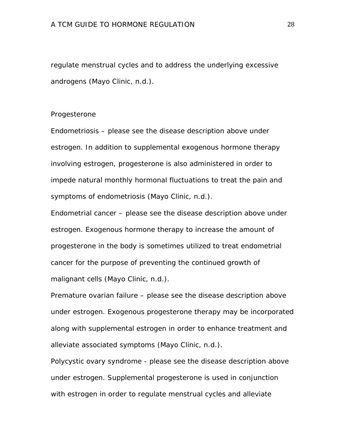regulate menstrual cycles and to address the underlying excessive androgens (Mayo Clinic, n.d.).

#### Progesterone

Endometriosis – please see the disease description above under estrogen. In addition to supplemental exogenous hormone therapy involving estrogen, progesterone is also administered in order to impede natural monthly hormonal fluctuations to treat the pain and symptoms of endometriosis (Mayo Clinic, n.d.).

Endometrial cancer – please see the disease description above under estrogen. Exogenous hormone therapy to increase the amount of progesterone in the body is sometimes utilized to treat endometrial cancer for the purpose of preventing the continued growth of malignant cells (Mayo Clinic, n.d.).

Premature ovarian failure – please see the disease description above under estrogen. Exogenous progesterone therapy may be incorporated along with supplemental estrogen in order to enhance treatment and alleviate associated symptoms (Mayo Clinic, n.d.).

Polycystic ovary syndrome - please see the disease description above under estrogen. Supplemental progesterone is used in conjunction with estrogen in order to regulate menstrual cycles and alleviate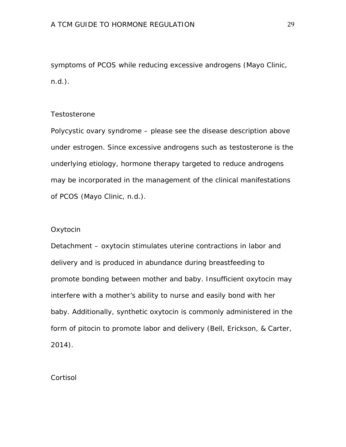symptoms of PCOS while reducing excessive androgens (Mayo Clinic, n.d.).

### **Testosterone**

Polycystic ovary syndrome – please see the disease description above under estrogen. Since excessive androgens such as testosterone is the underlying etiology, hormone therapy targeted to reduce androgens may be incorporated in the management of the clinical manifestations of PCOS (Mayo Clinic, n.d.).

### **Oxytocin**

Detachment – oxytocin stimulates uterine contractions in labor and delivery and is produced in abundance during breastfeeding to promote bonding between mother and baby. Insufficient oxytocin may interfere with a mother's ability to nurse and easily bond with her baby. Additionally, synthetic oxytocin is commonly administered in the form of pitocin to promote labor and delivery (Bell, Erickson, & Carter, 2014).

**Cortisol**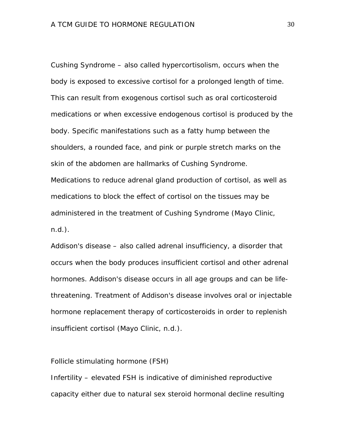Cushing Syndrome – also called hypercortisolism, occurs when the body is exposed to excessive cortisol for a prolonged length of time. This can result from exogenous cortisol such as oral corticosteroid medications or when excessive endogenous cortisol is produced by the body. Specific manifestations such as a fatty hump between the shoulders, a rounded face, and pink or purple stretch marks on the skin of the abdomen are hallmarks of Cushing Syndrome. Medications to reduce adrenal gland production of cortisol, as well as medications to block the effect of cortisol on the tissues may be administered in the treatment of Cushing Syndrome (Mayo Clinic, n.d.).

Addison's disease – also called adrenal insufficiency, a disorder that occurs when the body produces insufficient cortisol and other adrenal hormones. Addison's disease occurs in all age groups and can be lifethreatening. Treatment of Addison's disease involves oral or injectable hormone replacement therapy of corticosteroids in order to replenish insufficient cortisol (Mayo Clinic, n.d.).

Follicle stimulating hormone (FSH)

Infertility – elevated FSH is indicative of diminished reproductive capacity either due to natural sex steroid hormonal decline resulting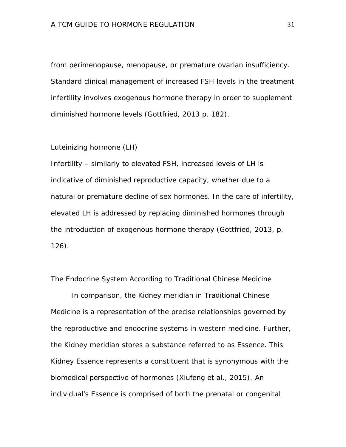from perimenopause, menopause, or premature ovarian insufficiency. Standard clinical management of increased FSH levels in the treatment infertility involves exogenous hormone therapy in order to supplement diminished hormone levels (Gottfried, 2013 p. 182).

Luteinizing hormone (LH)

Infertility – similarly to elevated FSH, increased levels of LH is indicative of diminished reproductive capacity, whether due to a natural or premature decline of sex hormones. In the care of infertility, elevated LH is addressed by replacing diminished hormones through the introduction of exogenous hormone therapy (Gottfried, 2013, p. 126).

The Endocrine System According to Traditional Chinese Medicine

In comparison, the Kidney meridian in Traditional Chinese Medicine is a representation of the precise relationships governed by the reproductive and endocrine systems in western medicine. Further, the Kidney meridian stores a substance referred to as Essence. This Kidney Essence represents a constituent that is synonymous with the biomedical perspective of hormones (Xiufeng et al., 2015). An individual's Essence is comprised of both the prenatal or congenital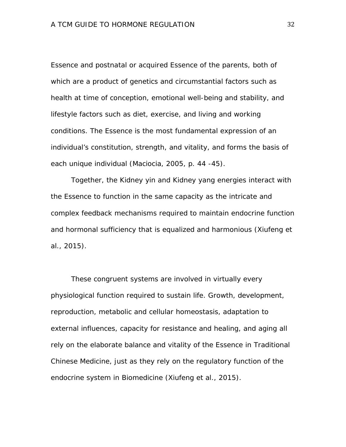Essence and postnatal or acquired Essence of the parents, both of which are a product of genetics and circumstantial factors such as health at time of conception, emotional well-being and stability, and lifestyle factors such as diet, exercise, and living and working conditions. The Essence is the most fundamental expression of an individual's constitution, strength, and vitality, and forms the basis of each unique individual (Maciocia, 2005, p. 44 -45).

Together, the Kidney yin and Kidney yang energies interact with the Essence to function in the same capacity as the intricate and complex feedback mechanisms required to maintain endocrine function and hormonal sufficiency that is equalized and harmonious (Xiufeng et al., 2015).

These congruent systems are involved in virtually every physiological function required to sustain life. Growth, development, reproduction, metabolic and cellular homeostasis, adaptation to external influences, capacity for resistance and healing, and aging all rely on the elaborate balance and vitality of the Essence in Traditional Chinese Medicine, just as they rely on the regulatory function of the endocrine system in Biomedicine (Xiufeng et al., 2015).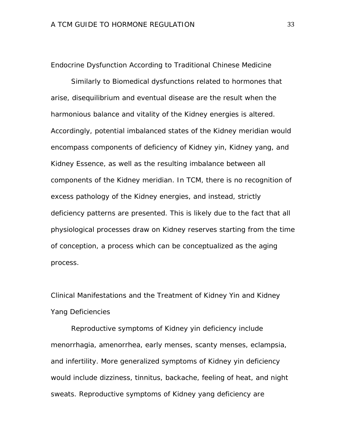Endocrine Dysfunction According to Traditional Chinese Medicine

Similarly to Biomedical dysfunctions related to hormones that arise, disequilibrium and eventual disease are the result when the harmonious balance and vitality of the Kidney energies is altered. Accordingly, potential imbalanced states of the Kidney meridian would encompass components of deficiency of Kidney yin, Kidney yang, and Kidney Essence, as well as the resulting imbalance between all components of the Kidney meridian. In TCM, there is no recognition of excess pathology of the Kidney energies, and instead, strictly deficiency patterns are presented. This is likely due to the fact that all physiological processes draw on Kidney reserves starting from the time of conception, a process which can be conceptualized as the aging process.

Clinical Manifestations and the Treatment of Kidney Yin and Kidney Yang Deficiencies

Reproductive symptoms of Kidney yin deficiency include menorrhagia, amenorrhea, early menses, scanty menses, eclampsia, and infertility. More generalized symptoms of Kidney yin deficiency would include dizziness, tinnitus, backache, feeling of heat, and night sweats. Reproductive symptoms of Kidney yang deficiency are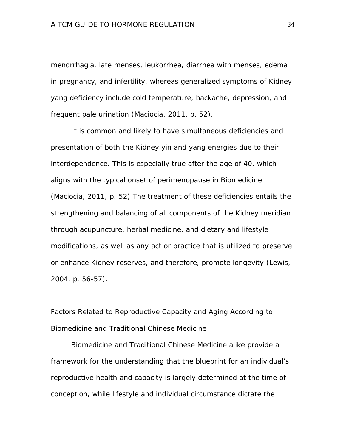menorrhagia, late menses, leukorrhea, diarrhea with menses, edema in pregnancy, and infertility, whereas generalized symptoms of Kidney yang deficiency include cold temperature, backache, depression, and frequent pale urination (Maciocia, 2011, p. 52).

It is common and likely to have simultaneous deficiencies and presentation of both the Kidney yin and yang energies due to their interdependence. This is especially true after the age of 40, which aligns with the typical onset of perimenopause in Biomedicine (Maciocia, 2011, p. 52) The treatment of these deficiencies entails the strengthening and balancing of all components of the Kidney meridian through acupuncture, herbal medicine, and dietary and lifestyle modifications, as well as any act or practice that is utilized to preserve or enhance Kidney reserves, and therefore, promote longevity (Lewis, 2004, p. 56-57).

Factors Related to Reproductive Capacity and Aging According to Biomedicine and Traditional Chinese Medicine

Biomedicine and Traditional Chinese Medicine alike provide a framework for the understanding that the blueprint for an individual's reproductive health and capacity is largely determined at the time of conception, while lifestyle and individual circumstance dictate the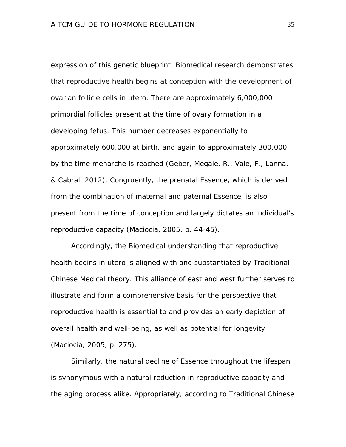expression of this genetic blueprint. Biomedical research demonstrates that reproductive health begins at conception with the development of ovarian follicle cells in utero. There are approximately 6,000,000 primordial follicles present at the time of ovary formation in a developing fetus. This number decreases exponentially to approximately 600,000 at birth, and again to approximately 300,000 by the time menarche is reached (Geber, Megale, R., Vale, F., Lanna, & Cabral, 2012). Congruently, the prenatal Essence, which is derived from the combination of maternal and paternal Essence, is also present from the time of conception and largely dictates an individual's reproductive capacity (Maciocia, 2005, p. 44-45).

Accordingly, the Biomedical understanding that reproductive health begins in utero is aligned with and substantiated by Traditional Chinese Medical theory. This alliance of east and west further serves to illustrate and form a comprehensive basis for the perspective that reproductive health is essential to and provides an early depiction of overall health and well-being, as well as potential for longevity (Maciocia, 2005, p. 275).

Similarly, the natural decline of Essence throughout the lifespan is synonymous with a natural reduction in reproductive capacity and the aging process alike. Appropriately, according to Traditional Chinese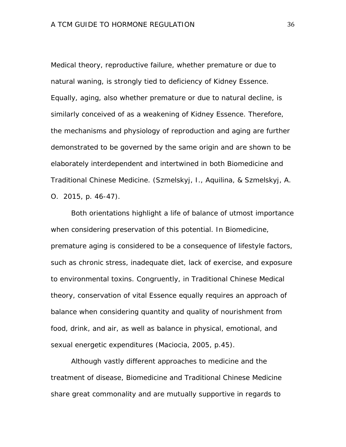Medical theory, reproductive failure, whether premature or due to natural waning, is strongly tied to deficiency of Kidney Essence. Equally, aging, also whether premature or due to natural decline, is similarly conceived of as a weakening of Kidney Essence. Therefore, the mechanisms and physiology of reproduction and aging are further demonstrated to be governed by the same origin and are shown to be elaborately interdependent and intertwined in both Biomedicine and Traditional Chinese Medicine. (Szmelskyj, I., Aquilina, & Szmelskyj, A. O. 2015, p. 46-47).

Both orientations highlight a life of balance of utmost importance when considering preservation of this potential. In Biomedicine, premature aging is considered to be a consequence of lifestyle factors, such as chronic stress, inadequate diet, lack of exercise, and exposure to environmental toxins. Congruently, in Traditional Chinese Medical theory, conservation of vital Essence equally requires an approach of balance when considering quantity and quality of nourishment from food, drink, and air, as well as balance in physical, emotional, and sexual energetic expenditures (Maciocia, 2005, p.45).

Although vastly different approaches to medicine and the treatment of disease, Biomedicine and Traditional Chinese Medicine share great commonality and are mutually supportive in regards to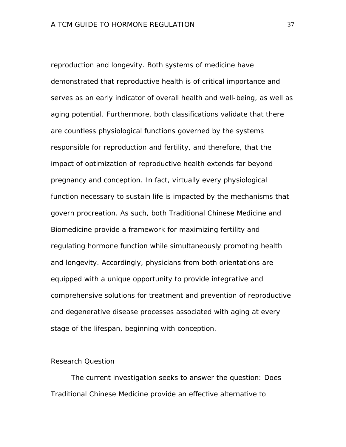reproduction and longevity. Both systems of medicine have demonstrated that reproductive health is of critical importance and serves as an early indicator of overall health and well-being, as well as aging potential. Furthermore, both classifications validate that there are countless physiological functions governed by the systems responsible for reproduction and fertility, and therefore, that the impact of optimization of reproductive health extends far beyond pregnancy and conception. In fact, virtually every physiological function necessary to sustain life is impacted by the mechanisms that govern procreation. As such, both Traditional Chinese Medicine and Biomedicine provide a framework for maximizing fertility and regulating hormone function while simultaneously promoting health and longevity. Accordingly, physicians from both orientations are equipped with a unique opportunity to provide integrative and comprehensive solutions for treatment and prevention of reproductive and degenerative disease processes associated with aging at every stage of the lifespan, beginning with conception.

# Research Question

The current investigation seeks to answer the question: Does Traditional Chinese Medicine provide an effective alternative to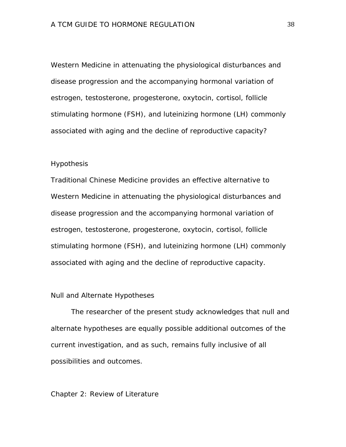Western Medicine in attenuating the physiological disturbances and disease progression and the accompanying hormonal variation of estrogen, testosterone, progesterone, oxytocin, cortisol, follicle stimulating hormone (FSH), and luteinizing hormone (LH) commonly associated with aging and the decline of reproductive capacity?

#### **Hypothesis**

Traditional Chinese Medicine provides an effective alternative to Western Medicine in attenuating the physiological disturbances and disease progression and the accompanying hormonal variation of estrogen, testosterone, progesterone, oxytocin, cortisol, follicle stimulating hormone (FSH), and luteinizing hormone (LH) commonly associated with aging and the decline of reproductive capacity.

## Null and Alternate Hypotheses

The researcher of the present study acknowledges that null and alternate hypotheses are equally possible additional outcomes of the current investigation, and as such, remains fully inclusive of all possibilities and outcomes.

# Chapter 2: Review of Literature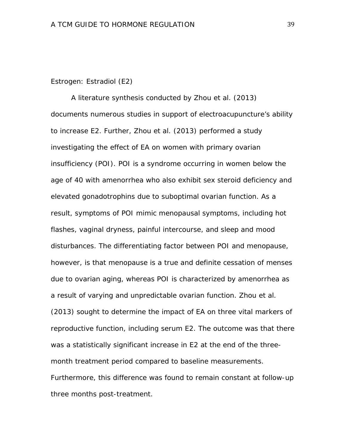### Estrogen: Estradiol (E2)

A literature synthesis conducted by Zhou et al. (2013) documents numerous studies in support of electroacupuncture's ability to increase E2. Further, Zhou et al. (2013) performed a study investigating the effect of EA on women with primary ovarian insufficiency (POI). POI is a syndrome occurring in women below the age of 40 with amenorrhea who also exhibit sex steroid deficiency and elevated gonadotrophins due to suboptimal ovarian function. As a result, symptoms of POI mimic menopausal symptoms, including hot flashes, vaginal dryness, painful intercourse, and sleep and mood disturbances. The differentiating factor between POI and menopause, however, is that menopause is a true and definite cessation of menses due to ovarian aging, whereas POI is characterized by amenorrhea as a result of varying and unpredictable ovarian function. Zhou et al. (2013) sought to determine the impact of EA on three vital markers of reproductive function, including serum E2. The outcome was that there was a statistically significant increase in E2 at the end of the threemonth treatment period compared to baseline measurements. Furthermore, this difference was found to remain constant at follow-up three months post-treatment.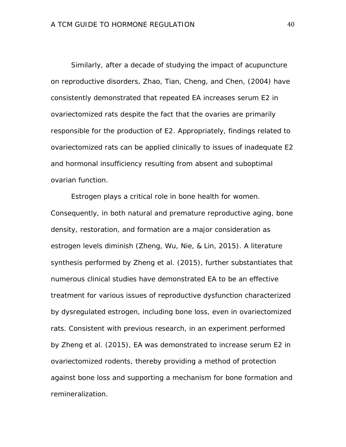Similarly, after a decade of studying the impact of acupuncture on reproductive disorders, Zhao, Tian, Cheng, and Chen, (2004) have consistently demonstrated that repeated EA increases serum E2 in ovariectomized rats despite the fact that the ovaries are primarily responsible for the production of E2. Appropriately, findings related to ovariectomized rats can be applied clinically to issues of inadequate E2 and hormonal insufficiency resulting from absent and suboptimal ovarian function.

Estrogen plays a critical role in bone health for women. Consequently, in both natural and premature reproductive aging, bone density, restoration, and formation are a major consideration as estrogen levels diminish (Zheng, Wu, Nie, & Lin, 2015). A literature synthesis performed by Zheng et al. (2015), further substantiates that numerous clinical studies have demonstrated EA to be an effective treatment for various issues of reproductive dysfunction characterized by dysregulated estrogen, including bone loss, even in ovariectomized rats. Consistent with previous research, in an experiment performed by Zheng et al. (2015), EA was demonstrated to increase serum E2 in ovariectomized rodents, thereby providing a method of protection against bone loss and supporting a mechanism for bone formation and remineralization.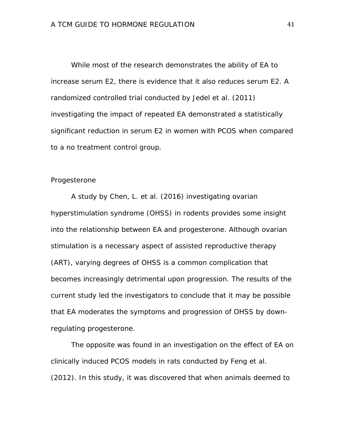While most of the research demonstrates the ability of EA to increase serum E2, there is evidence that it also reduces serum E2. A randomized controlled trial conducted by Jedel et al. (2011) investigating the impact of repeated EA demonstrated a statistically significant reduction in serum E2 in women with PCOS when compared to a no treatment control group.

## Progesterone

A study by Chen, L. et al. (2016) investigating ovarian hyperstimulation syndrome (OHSS) in rodents provides some insight into the relationship between EA and progesterone. Although ovarian stimulation is a necessary aspect of assisted reproductive therapy (ART), varying degrees of OHSS is a common complication that becomes increasingly detrimental upon progression. The results of the current study led the investigators to conclude that it may be possible that EA moderates the symptoms and progression of OHSS by downregulating progesterone.

The opposite was found in an investigation on the effect of EA on clinically induced PCOS models in rats conducted by Feng et al. (2012). In this study, it was discovered that when animals deemed to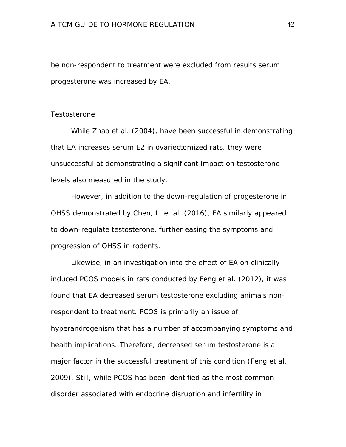be non-respondent to treatment were excluded from results serum progesterone was increased by EA.

#### **Testosterone**

While Zhao et al. (2004), have been successful in demonstrating that EA increases serum E2 in ovariectomized rats, they were unsuccessful at demonstrating a significant impact on testosterone levels also measured in the study.

However, in addition to the down-regulation of progesterone in OHSS demonstrated by Chen, L. et al. (2016), EA similarly appeared to down-regulate testosterone, further easing the symptoms and progression of OHSS in rodents.

Likewise, in an investigation into the effect of EA on clinically induced PCOS models in rats conducted by Feng et al. (2012), it was found that EA decreased serum testosterone excluding animals nonrespondent to treatment. PCOS is primarily an issue of hyperandrogenism that has a number of accompanying symptoms and health implications. Therefore, decreased serum testosterone is a major factor in the successful treatment of this condition (Feng et al., 2009). Still, while PCOS has been identified as the most common disorder associated with endocrine disruption and infertility in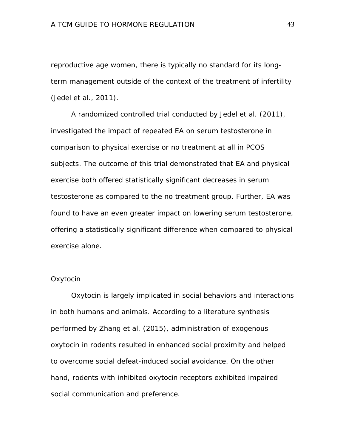reproductive age women, there is typically no standard for its longterm management outside of the context of the treatment of infertility (Jedel et al., 2011).

A randomized controlled trial conducted by Jedel et al. (2011), investigated the impact of repeated EA on serum testosterone in comparison to physical exercise or no treatment at all in PCOS subjects. The outcome of this trial demonstrated that EA and physical exercise both offered statistically significant decreases in serum testosterone as compared to the no treatment group. Further, EA was found to have an even greater impact on lowering serum testosterone, offering a statistically significant difference when compared to physical exercise alone.

# **Oxytocin**

Oxytocin is largely implicated in social behaviors and interactions in both humans and animals. According to a literature synthesis performed by Zhang et al. (2015), administration of exogenous oxytocin in rodents resulted in enhanced social proximity and helped to overcome social defeat-induced social avoidance. On the other hand, rodents with inhibited oxytocin receptors exhibited impaired social communication and preference.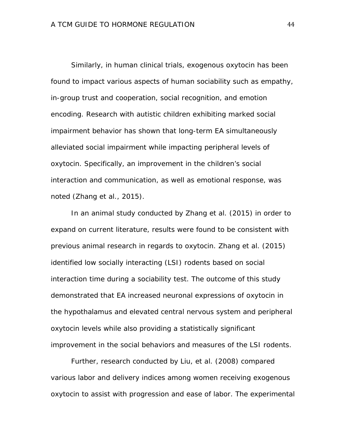Similarly, in human clinical trials, exogenous oxytocin has been found to impact various aspects of human sociability such as empathy, in-group trust and cooperation, social recognition, and emotion encoding. Research with autistic children exhibiting marked social impairment behavior has shown that long-term EA simultaneously alleviated social impairment while impacting peripheral levels of oxytocin. Specifically, an improvement in the children's social interaction and communication, as well as emotional response, was noted (Zhang et al., 2015).

In an animal study conducted by Zhang et al. (2015) in order to expand on current literature, results were found to be consistent with previous animal research in regards to oxytocin. Zhang et al. (2015) identified low socially interacting (LSI) rodents based on social interaction time during a sociability test. The outcome of this study demonstrated that EA increased neuronal expressions of oxytocin in the hypothalamus and elevated central nervous system and peripheral oxytocin levels while also providing a statistically significant improvement in the social behaviors and measures of the LSI rodents.

Further, research conducted by Liu, et al. (2008) compared various labor and delivery indices among women receiving exogenous oxytocin to assist with progression and ease of labor. The experimental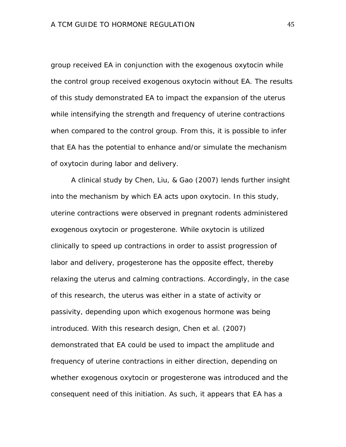group received EA in conjunction with the exogenous oxytocin while the control group received exogenous oxytocin without EA. The results of this study demonstrated EA to impact the expansion of the uterus while intensifying the strength and frequency of uterine contractions when compared to the control group. From this, it is possible to infer that EA has the potential to enhance and/or simulate the mechanism of oxytocin during labor and delivery.

A clinical study by Chen, Liu, & Gao (2007) lends further insight into the mechanism by which EA acts upon oxytocin. In this study, uterine contractions were observed in pregnant rodents administered exogenous oxytocin or progesterone. While oxytocin is utilized clinically to speed up contractions in order to assist progression of labor and delivery, progesterone has the opposite effect, thereby relaxing the uterus and calming contractions. Accordingly, in the case of this research, the uterus was either in a state of activity or passivity, depending upon which exogenous hormone was being introduced. With this research design, Chen et al. (2007) demonstrated that EA could be used to impact the amplitude and frequency of uterine contractions in either direction, depending on whether exogenous oxytocin or progesterone was introduced and the consequent need of this initiation. As such, it appears that EA has a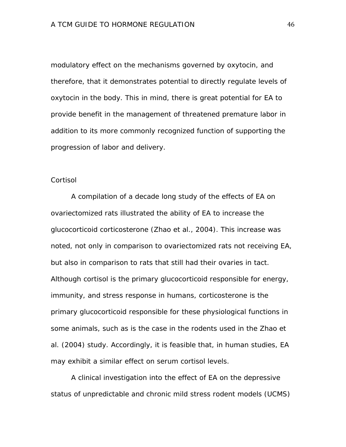modulatory effect on the mechanisms governed by oxytocin, and therefore, that it demonstrates potential to directly regulate levels of oxytocin in the body. This in mind, there is great potential for EA to provide benefit in the management of threatened premature labor in addition to its more commonly recognized function of supporting the progression of labor and delivery.

### **Cortisol**

A compilation of a decade long study of the effects of EA on ovariectomized rats illustrated the ability of EA to increase the glucocorticoid corticosterone (Zhao et al., 2004). This increase was noted, not only in comparison to ovariectomized rats not receiving EA, but also in comparison to rats that still had their ovaries in tact. Although cortisol is the primary glucocorticoid responsible for energy, immunity, and stress response in humans, corticosterone is the primary glucocorticoid responsible for these physiological functions in some animals, such as is the case in the rodents used in the Zhao et al. (2004) study. Accordingly, it is feasible that, in human studies, EA may exhibit a similar effect on serum cortisol levels.

A clinical investigation into the effect of EA on the depressive status of unpredictable and chronic mild stress rodent models (UCMS)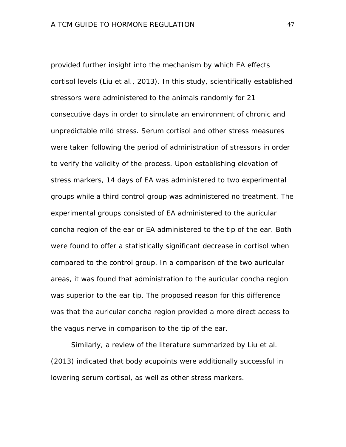provided further insight into the mechanism by which EA effects cortisol levels (Liu et al., 2013). In this study, scientifically established stressors were administered to the animals randomly for 21 consecutive days in order to simulate an environment of chronic and unpredictable mild stress. Serum cortisol and other stress measures were taken following the period of administration of stressors in order to verify the validity of the process. Upon establishing elevation of stress markers, 14 days of EA was administered to two experimental groups while a third control group was administered no treatment. The experimental groups consisted of EA administered to the auricular concha region of the ear or EA administered to the tip of the ear. Both were found to offer a statistically significant decrease in cortisol when compared to the control group. In a comparison of the two auricular areas, it was found that administration to the auricular concha region was superior to the ear tip. The proposed reason for this difference was that the auricular concha region provided a more direct access to the vagus nerve in comparison to the tip of the ear.

Similarly, a review of the literature summarized by Liu et al. (2013) indicated that body acupoints were additionally successful in lowering serum cortisol, as well as other stress markers.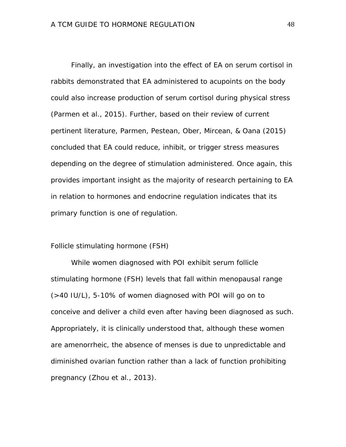Finally, an investigation into the effect of EA on serum cortisol in rabbits demonstrated that EA administered to acupoints on the body could also increase production of serum cortisol during physical stress (Parmen et al., 2015). Further, based on their review of current pertinent literature, Parmen, Pestean, Ober, Mircean, & Oana (2015) concluded that EA could reduce, inhibit, or trigger stress measures depending on the degree of stimulation administered. Once again, this provides important insight as the majority of research pertaining to EA in relation to hormones and endocrine regulation indicates that its primary function is one of regulation.

### Follicle stimulating hormone (FSH)

While women diagnosed with POI exhibit serum follicle stimulating hormone (FSH) levels that fall within menopausal range (>40 IU/L), 5-10% of women diagnosed with POI will go on to conceive and deliver a child even after having been diagnosed as such. Appropriately, it is clinically understood that, although these women are amenorrheic, the absence of menses is due to unpredictable and diminished ovarian function rather than a lack of function prohibiting pregnancy (Zhou et al., 2013).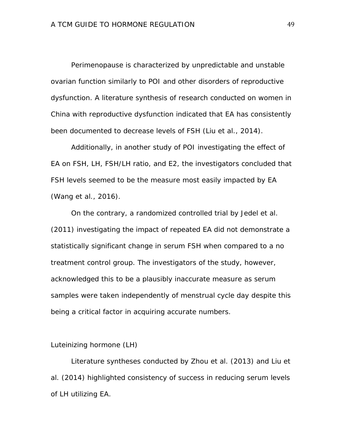Perimenopause is characterized by unpredictable and unstable ovarian function similarly to POI and other disorders of reproductive dysfunction. A literature synthesis of research conducted on women in China with reproductive dysfunction indicated that EA has consistently been documented to decrease levels of FSH (Liu et al., 2014).

Additionally, in another study of POI investigating the effect of EA on FSH, LH, FSH/LH ratio, and E2, the investigators concluded that FSH levels seemed to be the measure most easily impacted by EA (Wang et al., 2016).

On the contrary, a randomized controlled trial by Jedel et al. (2011) investigating the impact of repeated EA did not demonstrate a statistically significant change in serum FSH when compared to a no treatment control group. The investigators of the study, however, acknowledged this to be a plausibly inaccurate measure as serum samples were taken independently of menstrual cycle day despite this being a critical factor in acquiring accurate numbers.

### Luteinizing hormone (LH)

Literature syntheses conducted by Zhou et al. (2013) and Liu et al. (2014) highlighted consistency of success in reducing serum levels of LH utilizing EA.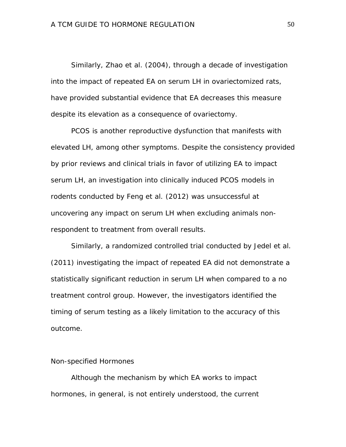Similarly, Zhao et al. (2004), through a decade of investigation into the impact of repeated EA on serum LH in ovariectomized rats, have provided substantial evidence that EA decreases this measure despite its elevation as a consequence of ovariectomy.

PCOS is another reproductive dysfunction that manifests with elevated LH, among other symptoms. Despite the consistency provided by prior reviews and clinical trials in favor of utilizing EA to impact serum LH, an investigation into clinically induced PCOS models in rodents conducted by Feng et al. (2012) was unsuccessful at uncovering any impact on serum LH when excluding animals nonrespondent to treatment from overall results.

Similarly, a randomized controlled trial conducted by Jedel et al. (2011) investigating the impact of repeated EA did not demonstrate a statistically significant reduction in serum LH when compared to a no treatment control group. However, the investigators identified the timing of serum testing as a likely limitation to the accuracy of this outcome.

# Non-specified Hormones

Although the mechanism by which EA works to impact hormones, in general, is not entirely understood, the current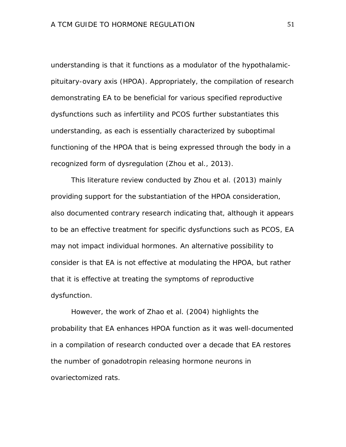understanding is that it functions as a modulator of the hypothalamicpituitary-ovary axis (HPOA). Appropriately, the compilation of research demonstrating EA to be beneficial for various specified reproductive dysfunctions such as infertility and PCOS further substantiates this understanding, as each is essentially characterized by suboptimal functioning of the HPOA that is being expressed through the body in a recognized form of dysregulation (Zhou et al., 2013).

This literature review conducted by Zhou et al. (2013) mainly providing support for the substantiation of the HPOA consideration, also documented contrary research indicating that, although it appears to be an effective treatment for specific dysfunctions such as PCOS, EA may not impact individual hormones. An alternative possibility to consider is that EA is not effective at modulating the HPOA, but rather that it is effective at treating the symptoms of reproductive dysfunction.

However, the work of Zhao et al. (2004) highlights the probability that EA enhances HPOA function as it was well-documented in a compilation of research conducted over a decade that EA restores the number of gonadotropin releasing hormone neurons in ovariectomized rats.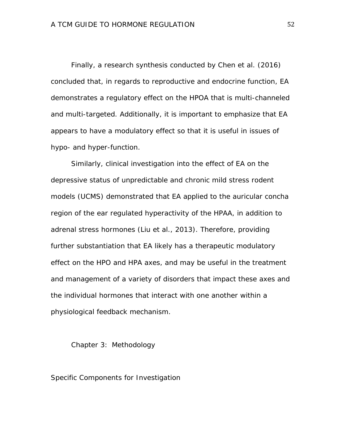Finally, a research synthesis conducted by Chen et al. (2016) concluded that, in regards to reproductive and endocrine function, EA demonstrates a regulatory effect on the HPOA that is multi-channeled and multi-targeted. Additionally, it is important to emphasize that EA appears to have a modulatory effect so that it is useful in issues of hypo- and hyper-function.

Similarly, clinical investigation into the effect of EA on the depressive status of unpredictable and chronic mild stress rodent models (UCMS) demonstrated that EA applied to the auricular concha region of the ear regulated hyperactivity of the HPAA, in addition to adrenal stress hormones (Liu et al., 2013). Therefore, providing further substantiation that EA likely has a therapeutic modulatory effect on the HPO and HPA axes, and may be useful in the treatment and management of a variety of disorders that impact these axes and the individual hormones that interact with one another within a physiological feedback mechanism.

Chapter 3: Methodology

Specific Components for Investigation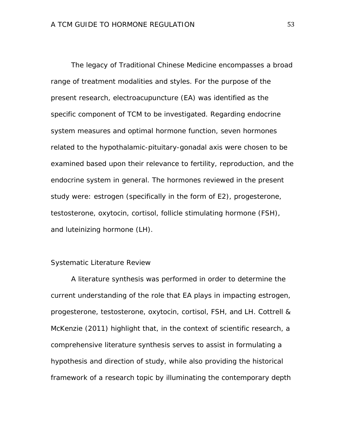The legacy of Traditional Chinese Medicine encompasses a broad range of treatment modalities and styles. For the purpose of the present research, electroacupuncture (EA) was identified as the specific component of TCM to be investigated. Regarding endocrine system measures and optimal hormone function, seven hormones related to the hypothalamic-pituitary-gonadal axis were chosen to be examined based upon their relevance to fertility, reproduction, and the endocrine system in general. The hormones reviewed in the present study were: estrogen (specifically in the form of E2), progesterone, testosterone, oxytocin, cortisol, follicle stimulating hormone (FSH), and luteinizing hormone (LH).

### Systematic Literature Review

A literature synthesis was performed in order to determine the current understanding of the role that EA plays in impacting estrogen, progesterone, testosterone, oxytocin, cortisol, FSH, and LH. Cottrell & McKenzie (2011) highlight that, in the context of scientific research, a comprehensive literature synthesis serves to assist in formulating a hypothesis and direction of study, while also providing the historical framework of a research topic by illuminating the contemporary depth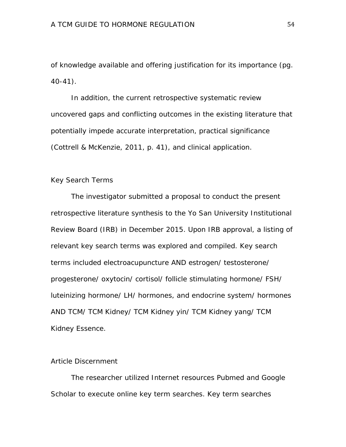of knowledge available and offering justification for its importance (pg. 40-41).

In addition, the current retrospective systematic review uncovered gaps and conflicting outcomes in the existing literature that potentially impede accurate interpretation, practical significance (Cottrell & McKenzie, 2011, p. 41), and clinical application.

### Key Search Terms

The investigator submitted a proposal to conduct the present retrospective literature synthesis to the Yo San University Institutional Review Board (IRB) in December 2015. Upon IRB approval, a listing of relevant key search terms was explored and compiled. Key search terms included electroacupuncture AND estrogen/ testosterone/ progesterone/ oxytocin/ cortisol/ follicle stimulating hormone/ FSH/ luteinizing hormone/ LH/ hormones, and endocrine system/ hormones AND TCM/ TCM Kidney/ TCM Kidney yin/ TCM Kidney yang/ TCM Kidney Essence.

# Article Discernment

The researcher utilized Internet resources Pubmed and Google Scholar to execute online key term searches. Key term searches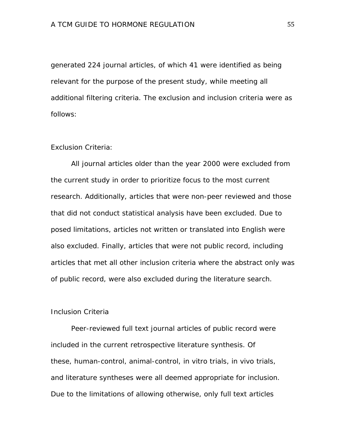generated 224 journal articles, of which 41 were identified as being relevant for the purpose of the present study, while meeting all additional filtering criteria. The exclusion and inclusion criteria were as follows:

# Exclusion Criteria:

All journal articles older than the year 2000 were excluded from the current study in order to prioritize focus to the most current research. Additionally, articles that were non-peer reviewed and those that did not conduct statistical analysis have been excluded. Due to posed limitations, articles not written or translated into English were also excluded. Finally, articles that were not public record, including articles that met all other inclusion criteria where the abstract only was of public record, were also excluded during the literature search.

# Inclusion Criteria

Peer-reviewed full text journal articles of public record were included in the current retrospective literature synthesis. Of these, human-control, animal-control, in vitro trials, in vivo trials, and literature syntheses were all deemed appropriate for inclusion. Due to the limitations of allowing otherwise, only full text articles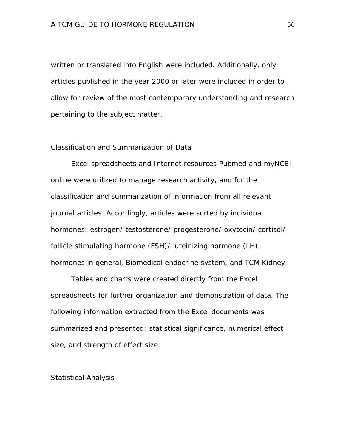written or translated into English were included. Additionally, only articles published in the year 2000 or later were included in order to allow for review of the most contemporary understanding and research pertaining to the subject matter.

# Classification and Summarization of Data

Excel spreadsheets and Internet resources Pubmed and myNCBI online were utilized to manage research activity, and for the classification and summarization of information from all relevant journal articles. Accordingly, articles were sorted by individual hormones: estrogen/ testosterone/ progesterone/ oxytocin/ cortisol/ follicle stimulating hormone (FSH)/ luteinizing hormone (LH), hormones in general, Biomedical endocrine system, and TCM Kidney.

Tables and charts were created directly from the Excel spreadsheets for further organization and demonstration of data. The following information extracted from the Excel documents was summarized and presented: statistical significance, numerical effect size, and strength of effect size.

#### Statistical Analysis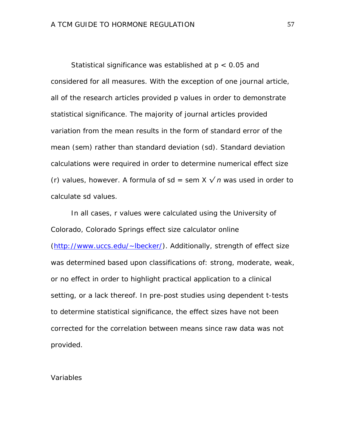Statistical significance was established at *p* < 0.05 and considered for all measures. With the exception of one journal article, all of the research articles provided *p* values in order to demonstrate statistical significance. The majority of journal articles provided variation from the mean results in the form of standard error of the mean (*sem*) rather than standard deviation (*sd*). Standard deviation calculations were required in order to determine numerical effect size (*r*) values, however. A formula of  $sd = sem X \sqrt{n}$  was used in order to calculate *sd* values.

In all cases, *r* values were calculated using the University of Colorado, Colorado Springs effect size calculator online [\(http://www.uccs.edu/~lbecker/\)](http://www.uccs.edu/%7Elbecker/). Additionally, strength of effect size was determined based upon classifications of: strong, moderate, weak, or no effect in order to highlight practical application to a clinical setting, or a lack thereof. In pre-post studies using dependent *t*-tests to determine statistical significance, the effect sizes have not been corrected for the correlation between means since raw data was not provided.

#### Variables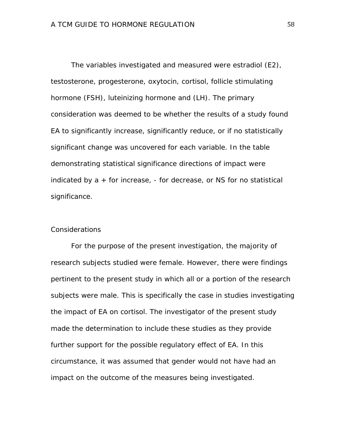The variables investigated and measured were estradiol (E2), testosterone, progesterone, oxytocin, cortisol, follicle stimulating hormone (FSH), luteinizing hormone and (LH). The primary consideration was deemed to be whether the results of a study found EA to significantly increase, significantly reduce, or if no statistically significant change was uncovered for each variable. In the table demonstrating statistical significance directions of impact were indicated by a *+* for increase, *-* for decrease, or *NS* for no statistical significance.

### Considerations

For the purpose of the present investigation, the majority of research subjects studied were female. However, there were findings pertinent to the present study in which all or a portion of the research subjects were male. This is specifically the case in studies investigating the impact of EA on cortisol. The investigator of the present study made the determination to include these studies as they provide further support for the possible regulatory effect of EA. In this circumstance, it was assumed that gender would not have had an impact on the outcome of the measures being investigated.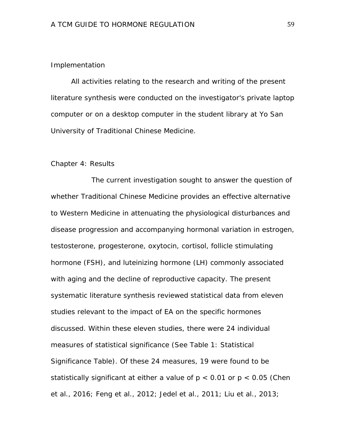## Implementation

All activities relating to the research and writing of the present literature synthesis were conducted on the investigator's private laptop computer or on a desktop computer in the student library at Yo San University of Traditional Chinese Medicine.

#### Chapter 4: Results

The current investigation sought to answer the question of whether Traditional Chinese Medicine provides an effective alternative to Western Medicine in attenuating the physiological disturbances and disease progression and accompanying hormonal variation in estrogen, testosterone, progesterone, oxytocin, cortisol, follicle stimulating hormone (FSH), and luteinizing hormone (LH) commonly associated with aging and the decline of reproductive capacity. The present systematic literature synthesis reviewed statistical data from eleven studies relevant to the impact of EA on the specific hormones discussed. Within these eleven studies, there were 24 individual measures of statistical significance (See Table 1: Statistical Significance Table). Of these 24 measures, 19 were found to be statistically significant at either a value of *p* < 0.01 or *p* < 0.05 (Chen et al., 2016; Feng et al., 2012; Jedel et al., 2011; Liu et al., 2013;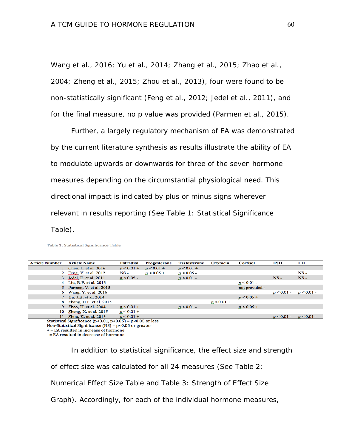Wang et al., 2016; Yu et al., 2014; Zhang et al., 2015; Zhao et al., 2004; Zheng et al., 2015; Zhou et al., 2013), four were found to be non-statistically significant (Feng et al., 2012; Jedel et al., 2011), and for the final measure, no *p* value was provided (Parmen et al., 2015).

Further, a largely regulatory mechanism of EA was demonstrated by the current literature synthesis as results illustrate the ability of EA to modulate upwards or downwards for three of the seven hormone measures depending on the circumstantial physiological need. This directional impact is indicated by plus or minus signs wherever relevant in results reporting (See Table 1: Statistical Significance Table).

Table 1: Statistical Significance Table

| <b>Article Number</b>                                                                                                                                                               | <b>Article Name</b>      | <b>Estradiol</b> | <b>Progesterone</b> | Testosterone | <b>Oxytocin</b> | <b>Cortisol</b> | FSH                   | LH       |  |
|-------------------------------------------------------------------------------------------------------------------------------------------------------------------------------------|--------------------------|------------------|---------------------|--------------|-----------------|-----------------|-----------------------|----------|--|
|                                                                                                                                                                                     | Chen, L. et al. 2016     | $p < 0.01 +$     | $p < 0.01 +$        | $p < 0.01 +$ |                 |                 |                       |          |  |
|                                                                                                                                                                                     | Feng, Y. et al. 2012     | $NS -$           | $p < 0.05 +$        | $p < 0.05 -$ |                 |                 |                       | $NS -$   |  |
|                                                                                                                                                                                     | 3 Jedel, E. et al. 2011  | $p < 0.05 -$     |                     | p < 0.01     |                 |                 | $NS -$                | $NS -$   |  |
|                                                                                                                                                                                     | 4 Liu, R.P. et al. 2013  |                  |                     |              |                 | $p < 0.01 -$    |                       |          |  |
|                                                                                                                                                                                     | 5 Parmen, V. et al. 2015 |                  |                     |              |                 | not provided -  |                       |          |  |
|                                                                                                                                                                                     | 6 Wang, Y. et al. 2016   |                  |                     |              |                 |                 | $p < 0.01 - p < 0.01$ |          |  |
|                                                                                                                                                                                     | 7 Yu, J.B. et al. 2014   |                  |                     |              |                 | $p < 0.05 +$    |                       |          |  |
|                                                                                                                                                                                     | Zhang, H.F. et al. 2015  |                  |                     |              | $p < 0.01 +$    |                 |                       |          |  |
| 9                                                                                                                                                                                   | Zhao, H. et al. 2004     | $p < 0.01 +$     |                     | $p < 0.01$ - |                 | $p < 0.05 +$    |                       |          |  |
| 10                                                                                                                                                                                  | Zheng, X. et al. $2015$  | $p < 0.01 +$     |                     |              |                 |                 |                       |          |  |
| 11                                                                                                                                                                                  | Zhou, K. et al. 2013     | $p < 0.01 +$     |                     |              |                 |                 | $p < 0.01 -$          | p < 0.01 |  |
| Statistical Significance ( $p<0.01$ , $p<0.05$ ) = $p<0.05$ or less                                                                                                                 |                          |                  |                     |              |                 |                 |                       |          |  |
| $\mathbf{M} = \mathbf{G} \cdot \mathbf{M} \cdot \mathbf{M} = \mathbf{G} \cdot \mathbf{M} = \mathbf{G} \cdot \mathbf{M} = \mathbf{G} \cdot \mathbf{M} = \mathbf{M} \cdot \mathbf{M}$ |                          |                  |                     |              |                 |                 |                       |          |  |

Non-Statistical Significance (NS) = p<0.05 or greater + = EA resulted in increase of hormone - = EA resulted in decrease of hormone

In addition to statistical significance, the effect size and strength of effect size was calculated for all 24 measures (See Table 2: Numerical Effect Size Table and Table 3: Strength of Effect Size Graph). Accordingly, for each of the individual hormone measures,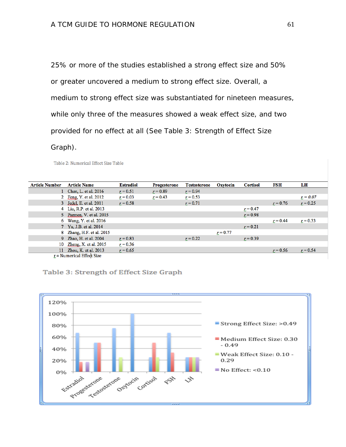25% or more of the studies established a strong effect size and 50% or greater uncovered a medium to strong effect size. Overall, a medium to strong effect size was substantiated for nineteen measures, while only three of the measures showed a weak effect size, and two provided for no effect at all (See Table 3: Strength of Effect Size

Graph).

Table 2: Numerical Effect Size Table

| <b>Article Number</b>     | <b>Article Name</b>       | <b>Estradiol</b> | <b>Progesterone</b> | <b>Testosterone</b> | Oxytocin   | <b>Cortisol</b> | FSH        | LH         |
|---------------------------|---------------------------|------------------|---------------------|---------------------|------------|-----------------|------------|------------|
|                           | 1 Chen, L. et al. 2016    | $r = 0.51$       | $r = 0.89$          | $r = 0.94$          |            |                 |            |            |
|                           | 2 Feng, Y. et al. 2012    | $r = 0.03$       | $r = 0.43$          | $r = 0.53$          |            |                 |            | $r = 0.07$ |
|                           | 3 Jedel, E. et al. 2011   | $r = 0.58$       |                     | $r = 0.71$          |            |                 | $r = 0.76$ | $r = 0.25$ |
|                           | 4 Liu, R.P. et al. 2013   |                  |                     |                     |            | $r = 0.47$      |            |            |
|                           | 5 Parmen, V. et al. 2015  |                  |                     |                     |            | $r = 0.98$      |            |            |
|                           | 6 Wang, Y. et al. 2016    |                  |                     |                     |            |                 | $r = 0.44$ | $r = 0.33$ |
|                           | 7 Yu, J.B. et al. 2014    |                  |                     |                     |            | $r = 0.21$      |            |            |
|                           | 8 Zhang, H.F. et al. 2015 |                  |                     |                     | $r = 0.77$ |                 |            |            |
|                           | 9 Zhao, H. et al. 2004    | $r = 0.83$       |                     | $r = 0.22$          |            | $r = 0.39$      |            |            |
|                           | 10 Zheng, X. et al. 2015  | $r = 0.36$       |                     |                     |            |                 |            |            |
|                           | 11 Zhou, K. et al. 2013   | $r = 0.65$       |                     |                     |            |                 | $r = 0.56$ | $r = 0.54$ |
| r = Numerical Effect Size |                           |                  |                     |                     |            |                 |            |            |



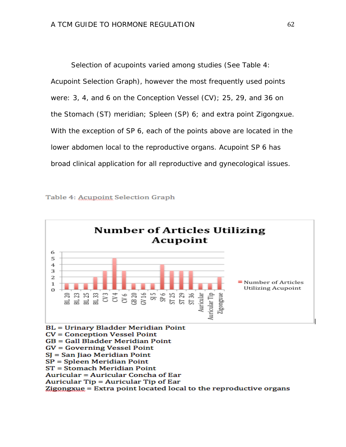Selection of acupoints varied among studies (See Table 4: Acupoint Selection Graph), however the most frequently used points were: 3, 4, and 6 on the Conception Vessel (CV); 25, 29, and 36 on the Stomach (ST) meridian; Spleen (SP) 6; and extra point Zigongxue. With the exception of SP 6, each of the points above are located in the lower abdomen local to the reproductive organs. Acupoint SP 6 has broad clinical application for all reproductive and gynecological issues.





Auricular Tip = Auricular Tip of Ear

Zigongxue = Extra point located local to the reproductive organs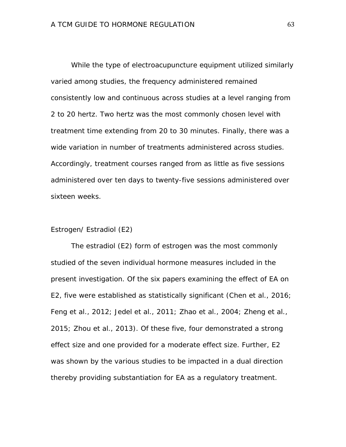While the type of electroacupuncture equipment utilized similarly varied among studies, the frequency administered remained consistently low and continuous across studies at a level ranging from 2 to 20 hertz. Two hertz was the most commonly chosen level with treatment time extending from 20 to 30 minutes. Finally, there was a wide variation in number of treatments administered across studies. Accordingly, treatment courses ranged from as little as five sessions administered over ten days to twenty-five sessions administered over sixteen weeks.

# Estrogen/ Estradiol (E2)

The estradiol (E2) form of estrogen was the most commonly studied of the seven individual hormone measures included in the present investigation. Of the six papers examining the effect of EA on E2, five were established as statistically significant (Chen et al., 2016; Feng et al., 2012; Jedel et al., 2011; Zhao et al., 2004; Zheng et al., 2015; Zhou et al., 2013). Of these five, four demonstrated a strong effect size and one provided for a moderate effect size. Further, E2 was shown by the various studies to be impacted in a dual direction thereby providing substantiation for EA as a regulatory treatment.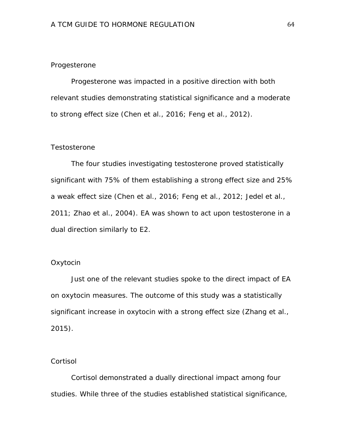## Progesterone

Progesterone was impacted in a positive direction with both relevant studies demonstrating statistical significance and a moderate to strong effect size (Chen et al., 2016; Feng et al., 2012).

### Testosterone

The four studies investigating testosterone proved statistically significant with 75% of them establishing a strong effect size and 25% a weak effect size (Chen et al., 2016; Feng et al., 2012; Jedel et al., 2011; Zhao et al., 2004). EA was shown to act upon testosterone in a dual direction similarly to E2.

# **Oxytocin**

Just one of the relevant studies spoke to the direct impact of EA on oxytocin measures. The outcome of this study was a statistically significant increase in oxytocin with a strong effect size (Zhang et al., 2015).

# **Cortisol**

Cortisol demonstrated a dually directional impact among four studies. While three of the studies established statistical significance,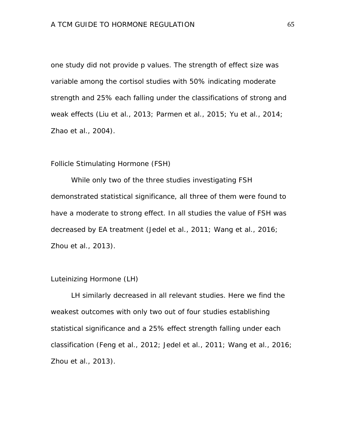one study did not provide *p* values. The strength of effect size was variable among the cortisol studies with 50% indicating moderate strength and 25% each falling under the classifications of strong and weak effects (Liu et al., 2013; Parmen et al., 2015; Yu et al., 2014; Zhao et al., 2004).

#### Follicle Stimulating Hormone (FSH)

While only two of the three studies investigating FSH demonstrated statistical significance, all three of them were found to have a moderate to strong effect. In all studies the value of FSH was decreased by EA treatment (Jedel et al., 2011; Wang et al., 2016; Zhou et al., 2013).

# Luteinizing Hormone (LH)

LH similarly decreased in all relevant studies. Here we find the weakest outcomes with only two out of four studies establishing statistical significance and a 25% effect strength falling under each classification (Feng et al., 2012; Jedel et al., 2011; Wang et al., 2016; Zhou et al., 2013).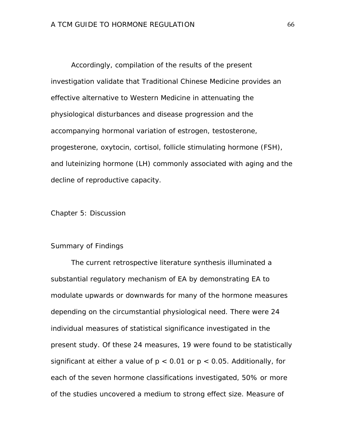Accordingly, compilation of the results of the present investigation validate that Traditional Chinese Medicine provides an effective alternative to Western Medicine in attenuating the physiological disturbances and disease progression and the accompanying hormonal variation of estrogen, testosterone, progesterone, oxytocin, cortisol, follicle stimulating hormone (FSH), and luteinizing hormone (LH) commonly associated with aging and the decline of reproductive capacity.

Chapter 5: Discussion

# Summary of Findings

The current retrospective literature synthesis illuminated a substantial regulatory mechanism of EA by demonstrating EA to modulate upwards or downwards for many of the hormone measures depending on the circumstantial physiological need. There were 24 individual measures of statistical significance investigated in the present study. Of these 24 measures, 19 were found to be statistically significant at either a value of  $p < 0.01$  or  $p < 0.05$ . Additionally, for each of the seven hormone classifications investigated, 50% or more of the studies uncovered a medium to strong effect size. Measure of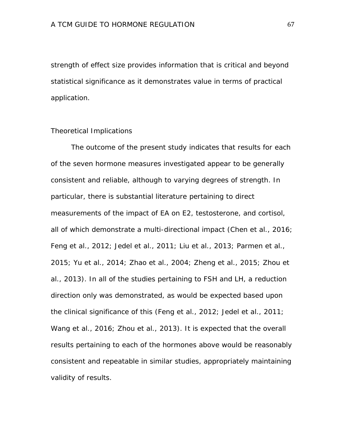strength of effect size provides information that is critical and beyond statistical significance as it demonstrates value in terms of practical application.

# Theoretical Implications

The outcome of the present study indicates that results for each of the seven hormone measures investigated appear to be generally consistent and reliable, although to varying degrees of strength. In particular, there is substantial literature pertaining to direct measurements of the impact of EA on E2, testosterone, and cortisol, all of which demonstrate a multi-directional impact (Chen et al., 2016; Feng et al., 2012; Jedel et al., 2011; Liu et al., 2013; Parmen et al., 2015; Yu et al., 2014; Zhao et al., 2004; Zheng et al., 2015; Zhou et al., 2013). In all of the studies pertaining to FSH and LH, a reduction direction only was demonstrated, as would be expected based upon the clinical significance of this (Feng et al., 2012; Jedel et al., 2011; Wang et al., 2016; Zhou et al., 2013). It is expected that the overall results pertaining to each of the hormones above would be reasonably consistent and repeatable in similar studies, appropriately maintaining validity of results.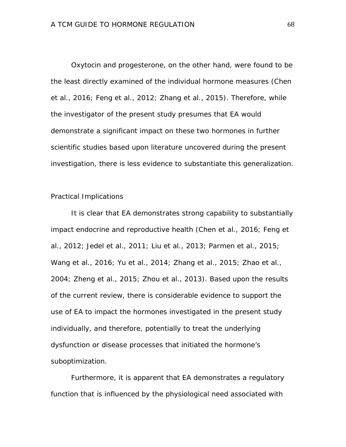Oxytocin and progesterone, on the other hand, were found to be the least directly examined of the individual hormone measures (Chen et al., 2016; Feng et al., 2012; Zhang et al., 2015). Therefore, while the investigator of the present study presumes that EA would demonstrate a significant impact on these two hormones in further scientific studies based upon literature uncovered during the present investigation, there is less evidence to substantiate this generalization.

### Practical Implications

It is clear that EA demonstrates strong capability to substantially impact endocrine and reproductive health (Chen et al., 2016; Feng et al., 2012; Jedel et al., 2011; Liu et al., 2013; Parmen et al., 2015; Wang et al., 2016; Yu et al., 2014; Zhang et al., 2015; Zhao et al., 2004; Zheng et al., 2015; Zhou et al., 2013). Based upon the results of the current review, there is considerable evidence to support the use of EA to impact the hormones investigated in the present study individually, and therefore, potentially to treat the underlying dysfunction or disease processes that initiated the hormone's suboptimization.

Furthermore, it is apparent that EA demonstrates a regulatory function that is influenced by the physiological need associated with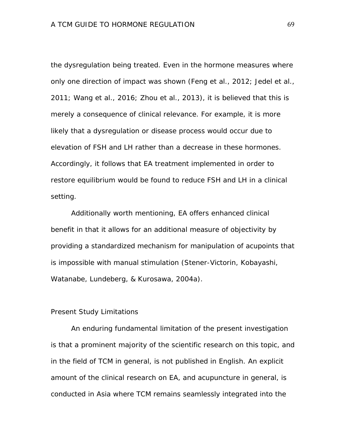the dysregulation being treated. Even in the hormone measures where only one direction of impact was shown (Feng et al., 2012; Jedel et al., 2011; Wang et al., 2016; Zhou et al., 2013), it is believed that this is merely a consequence of clinical relevance. For example, it is more likely that a dysregulation or disease process would occur due to elevation of FSH and LH rather than a decrease in these hormones. Accordingly, it follows that EA treatment implemented in order to restore equilibrium would be found to reduce FSH and LH in a clinical setting.

Additionally worth mentioning, EA offers enhanced clinical benefit in that it allows for an additional measure of objectivity by providing a standardized mechanism for manipulation of acupoints that is impossible with manual stimulation (Stener-Victorin, Kobayashi, Watanabe, Lundeberg, & Kurosawa, 2004a).

# Present Study Limitations

An enduring fundamental limitation of the present investigation is that a prominent majority of the scientific research on this topic, and in the field of TCM in general, is not published in English. An explicit amount of the clinical research on EA, and acupuncture in general, is conducted in Asia where TCM remains seamlessly integrated into the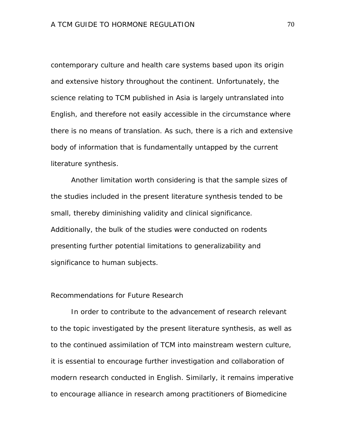contemporary culture and health care systems based upon its origin and extensive history throughout the continent. Unfortunately, the science relating to TCM published in Asia is largely untranslated into English, and therefore not easily accessible in the circumstance where there is no means of translation. As such, there is a rich and extensive body of information that is fundamentally untapped by the current literature synthesis.

Another limitation worth considering is that the sample sizes of the studies included in the present literature synthesis tended to be small, thereby diminishing validity and clinical significance. Additionally, the bulk of the studies were conducted on rodents presenting further potential limitations to generalizability and significance to human subjects.

# Recommendations for Future Research

In order to contribute to the advancement of research relevant to the topic investigated by the present literature synthesis, as well as to the continued assimilation of TCM into mainstream western culture, it is essential to encourage further investigation and collaboration of modern research conducted in English. Similarly, it remains imperative to encourage alliance in research among practitioners of Biomedicine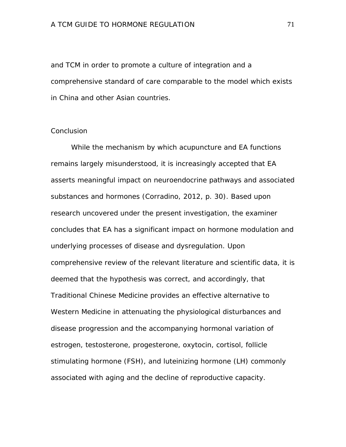and TCM in order to promote a culture of integration and a comprehensive standard of care comparable to the model which exists in China and other Asian countries.

# **Conclusion**

While the mechanism by which acupuncture and EA functions remains largely misunderstood, it is increasingly accepted that EA asserts meaningful impact on neuroendocrine pathways and associated substances and hormones (Corradino, 2012, p. 30). Based upon research uncovered under the present investigation, the examiner concludes that EA has a significant impact on hormone modulation and underlying processes of disease and dysregulation. Upon comprehensive review of the relevant literature and scientific data, it is deemed that the hypothesis was correct, and accordingly, that Traditional Chinese Medicine provides an effective alternative to Western Medicine in attenuating the physiological disturbances and disease progression and the accompanying hormonal variation of estrogen, testosterone, progesterone, oxytocin, cortisol, follicle stimulating hormone (FSH), and luteinizing hormone (LH) commonly associated with aging and the decline of reproductive capacity.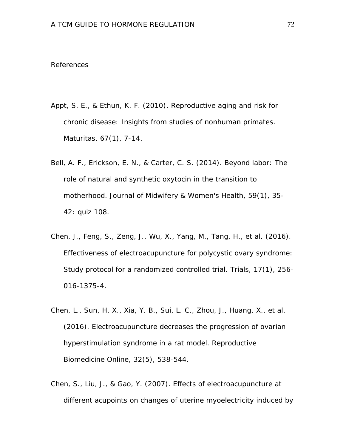### References

- Appt, S. E., & Ethun, K. F. (2010). Reproductive aging and risk for chronic disease: Insights from studies of nonhuman primates. *Maturitas, 67*(1), 7-14.
- Bell, A. F., Erickson, E. N., & Carter, C. S. (2014). Beyond labor: The role of natural and synthetic oxytocin in the transition to motherhood. *Journal of Midwifery & Women's Health, 59*(1), 35- 42: quiz 108.
- Chen, J., Feng, S., Zeng, J., Wu, X., Yang, M., Tang, H., et al. (2016). Effectiveness of electroacupuncture for polycystic ovary syndrome: Study protocol for a randomized controlled trial. *Trials, 17*(1), 256- 016-1375-4.
- Chen, L., Sun, H. X., Xia, Y. B., Sui, L. C., Zhou, J., Huang, X., et al. (2016). Electroacupuncture decreases the progression of ovarian hyperstimulation syndrome in a rat model. *Reproductive Biomedicine Online, 32*(5), 538-544.
- Chen, S., Liu, J., & Gao, Y. (2007). Effects of electroacupuncture at different acupoints on changes of uterine myoelectricity induced by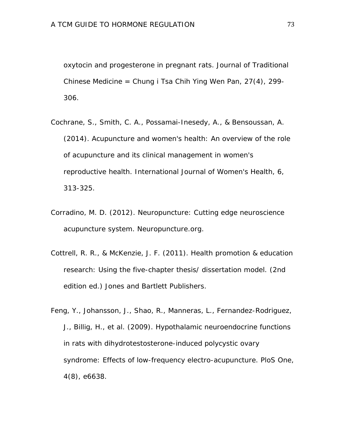oxytocin and progesterone in pregnant rats. *Journal of Traditional Chinese Medicine = Chung i Tsa Chih Ying Wen Pan, 27*(4), 299- 306.

- Cochrane, S., Smith, C. A., Possamai-Inesedy, A., & Bensoussan, A. (2014). Acupuncture and women's health: An overview of the role of acupuncture and its clinical management in women's reproductive health. *International Journal of Women's Health, 6*, 313-325.
- Corradino, M. D. (2012). *Neuropuncture: Cutting edge neuroscience acupuncture system.* Neuropuncture.org.
- Cottrell, R. R., & McKenzie, J. F. (2011). *Health promotion & education research: Using the five-chapter thesis/ dissertation model.* (2nd edition ed.) Jones and Bartlett Publishers.
- Feng, Y., Johansson, J., Shao, R., Manneras, L., Fernandez-Rodriguez, J., Billig, H., et al. (2009). Hypothalamic neuroendocrine functions in rats with dihydrotestosterone-induced polycystic ovary syndrome: Effects of low-frequency electro-acupuncture. *PloS One, 4*(8), e6638.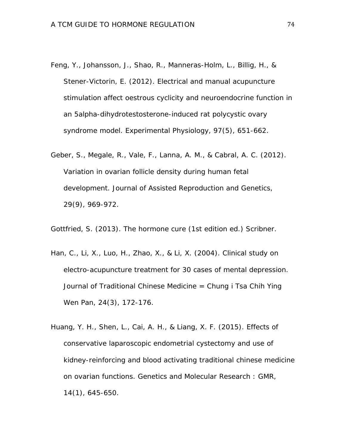- Feng, Y., Johansson, J., Shao, R., Manneras-Holm, L., Billig, H., & Stener-Victorin, E. (2012). Electrical and manual acupuncture stimulation affect oestrous cyclicity and neuroendocrine function in an 5alpha-dihydrotestosterone-induced rat polycystic ovary syndrome model. *Experimental Physiology, 97*(5), 651-662.
- Geber, S., Megale, R., Vale, F., Lanna, A. M., & Cabral, A. C. (2012). Variation in ovarian follicle density during human fetal development. *Journal of Assisted Reproduction and Genetics, 29*(9), 969-972.

Gottfried, S. (2013). *The hormone cure* (1st edition ed.) Scribner.

- Han, C., Li, X., Luo, H., Zhao, X., & Li, X. (2004). Clinical study on electro-acupuncture treatment for 30 cases of mental depression. *Journal of Traditional Chinese Medicine = Chung i Tsa Chih Ying Wen Pan, 24*(3), 172-176.
- Huang, Y. H., Shen, L., Cai, A. H., & Liang, X. F. (2015). Effects of conservative laparoscopic endometrial cystectomy and use of kidney-reinforcing and blood activating traditional chinese medicine on ovarian functions. *Genetics and Molecular Research : GMR, 14*(1), 645-650.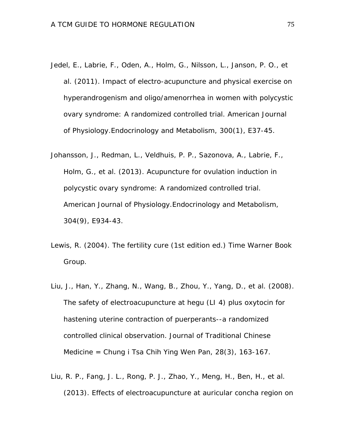- Jedel, E., Labrie, F., Oden, A., Holm, G., Nilsson, L., Janson, P. O., et al. (2011). Impact of electro-acupuncture and physical exercise on hyperandrogenism and oligo/amenorrhea in women with polycystic ovary syndrome: A randomized controlled trial. *American Journal of Physiology.Endocrinology and Metabolism, 300*(1), E37-45.
- Johansson, J., Redman, L., Veldhuis, P. P., Sazonova, A., Labrie, F., Holm, G., et al. (2013). Acupuncture for ovulation induction in polycystic ovary syndrome: A randomized controlled trial. *American Journal of Physiology.Endocrinology and Metabolism, 304*(9), E934-43.
- Lewis, R. (2004). *The fertility cure* (1st edition ed.) Time Warner Book Group.
- Liu, J., Han, Y., Zhang, N., Wang, B., Zhou, Y., Yang, D., et al. (2008). The safety of electroacupuncture at hegu (LI 4) plus oxytocin for hastening uterine contraction of puerperants--a randomized controlled clinical observation. *Journal of Traditional Chinese Medicine = Chung i Tsa Chih Ying Wen Pan, 28*(3), 163-167.
- Liu, R. P., Fang, J. L., Rong, P. J., Zhao, Y., Meng, H., Ben, H., et al. (2013). Effects of electroacupuncture at auricular concha region on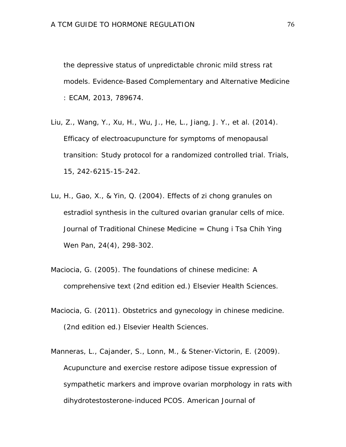the depressive status of unpredictable chronic mild stress rat models. *Evidence-Based Complementary and Alternative Medicine : ECAM, 2013*, 789674.

- Liu, Z., Wang, Y., Xu, H., Wu, J., He, L., Jiang, J. Y., et al. (2014). Efficacy of electroacupuncture for symptoms of menopausal transition: Study protocol for a randomized controlled trial. *Trials, 15*, 242-6215-15-242.
- Lu, H., Gao, X., & Yin, Q. (2004). Effects of zi chong granules on estradiol synthesis in the cultured ovarian granular cells of mice. *Journal of Traditional Chinese Medicine = Chung i Tsa Chih Ying Wen Pan, 24*(4), 298-302.
- Maciocia, G. (2005). *The foundations of chinese medicine: A comprehensive text* (2nd edition ed.) Elsevier Health Sciences.
- Maciocia, G. (2011). *Obstetrics and gynecology in chinese medicine.* (2nd edition ed.) Elsevier Health Sciences.
- Manneras, L., Cajander, S., Lonn, M., & Stener-Victorin, E. (2009). Acupuncture and exercise restore adipose tissue expression of sympathetic markers and improve ovarian morphology in rats with dihydrotestosterone-induced PCOS. *American Journal of*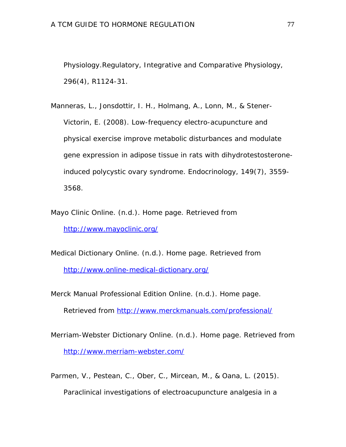*Physiology.Regulatory, Integrative and Comparative Physiology, 296*(4), R1124-31.

Manneras, L., Jonsdottir, I. H., Holmang, A., Lonn, M., & Stener-Victorin, E. (2008). Low-frequency electro-acupuncture and physical exercise improve metabolic disturbances and modulate gene expression in adipose tissue in rats with dihydrotestosteroneinduced polycystic ovary syndrome. *Endocrinology, 149*(7), 3559- 3568.

Mayo Clinic Online. (n.d.). *Home page.* Retrieved from <http://www.mayoclinic.org/>

Medical Dictionary Online. (n.d.). *Home page.* Retrieved from <http://www.online-medical-dictionary.org/>

Merck Manual Professional Edition Online. (n.d.). *Home page.*

Retrieved from<http://www.merckmanuals.com/professional/>

Merriam-Webster Dictionary Online. (n.d.). *Home page.* Retrieved from <http://www.merriam-webster.com/>

Parmen, V., Pestean, C., Ober, C., Mircean, M., & Oana, L. (2015). Paraclinical investigations of electroacupuncture analgesia in a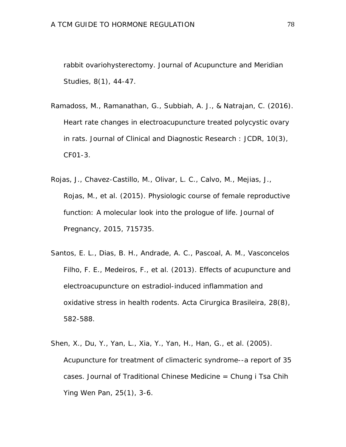rabbit ovariohysterectomy. *Journal of Acupuncture and Meridian Studies, 8*(1), 44-47.

- Ramadoss, M., Ramanathan, G., Subbiah, A. J., & Natrajan, C. (2016). Heart rate changes in electroacupuncture treated polycystic ovary in rats. *Journal of Clinical and Diagnostic Research : JCDR, 10*(3), CF01-3.
- Rojas, J., Chavez-Castillo, M., Olivar, L. C., Calvo, M., Mejias, J., Rojas, M., et al. (2015). Physiologic course of female reproductive function: A molecular look into the prologue of life. *Journal of Pregnancy, 2015*, 715735.
- Santos, E. L., Dias, B. H., Andrade, A. C., Pascoal, A. M., Vasconcelos Filho, F. E., Medeiros, F., et al. (2013). Effects of acupuncture and electroacupuncture on estradiol-induced inflammation and oxidative stress in health rodents. *Acta Cirurgica Brasileira, 28*(8), 582-588.
- Shen, X., Du, Y., Yan, L., Xia, Y., Yan, H., Han, G., et al. (2005). Acupuncture for treatment of climacteric syndrome--a report of 35 cases. *Journal of Traditional Chinese Medicine = Chung i Tsa Chih Ying Wen Pan, 25*(1), 3-6.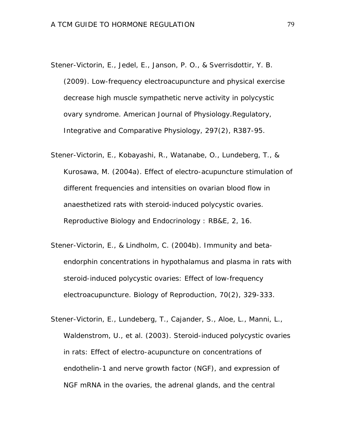- Stener-Victorin, E., Jedel, E., Janson, P. O., & Sverrisdottir, Y. B. (2009). Low-frequency electroacupuncture and physical exercise decrease high muscle sympathetic nerve activity in polycystic ovary syndrome. *American Journal of Physiology.Regulatory, Integrative and Comparative Physiology, 297*(2), R387-95.
- Stener-Victorin, E., Kobayashi, R., Watanabe, O., Lundeberg, T., & Kurosawa, M. (2004a). Effect of electro-acupuncture stimulation of different frequencies and intensities on ovarian blood flow in anaesthetized rats with steroid-induced polycystic ovaries. *Reproductive Biology and Endocrinology : RB&E, 2*, 16.
- Stener-Victorin, E., & Lindholm, C. (2004b). Immunity and betaendorphin concentrations in hypothalamus and plasma in rats with steroid-induced polycystic ovaries: Effect of low-frequency electroacupuncture. *Biology of Reproduction, 70*(2), 329-333.
- Stener-Victorin, E., Lundeberg, T., Cajander, S., Aloe, L., Manni, L., Waldenstrom, U., et al. (2003). Steroid-induced polycystic ovaries in rats: Effect of electro-acupuncture on concentrations of endothelin-1 and nerve growth factor (NGF), and expression of NGF mRNA in the ovaries, the adrenal glands, and the central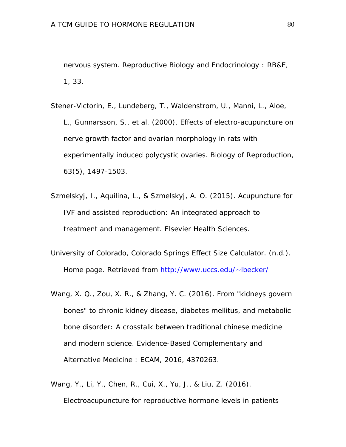nervous system. *Reproductive Biology and Endocrinology : RB&E, 1*, 33.

Stener-Victorin, E., Lundeberg, T., Waldenstrom, U., Manni, L., Aloe, L., Gunnarsson, S., et al. (2000). Effects of electro-acupuncture on nerve growth factor and ovarian morphology in rats with experimentally induced polycystic ovaries. *Biology of Reproduction, 63*(5), 1497-1503.

- Szmelskyj, I., Aquilina, L., & Szmelskyj, A. O. (2015). *Acupuncture for IVF and assisted reproduction: An integrated approach to treatment and management.* Elsevier Health Sciences.
- University of Colorado, Colorado Springs Effect Size Calculator. (n.d.). *Home page.* Retrieved from [http://www.uccs.edu/~lbecker/](http://www.uccs.edu/%7Elbecker/)
- Wang, X. Q., Zou, X. R., & Zhang, Y. C. (2016). From "kidneys govern bones" to chronic kidney disease, diabetes mellitus, and metabolic bone disorder: A crosstalk between traditional chinese medicine and modern science. *Evidence-Based Complementary and Alternative Medicine : ECAM, 2016*, 4370263.
- Wang, Y., Li, Y., Chen, R., Cui, X., Yu, J., & Liu, Z. (2016). Electroacupuncture for reproductive hormone levels in patients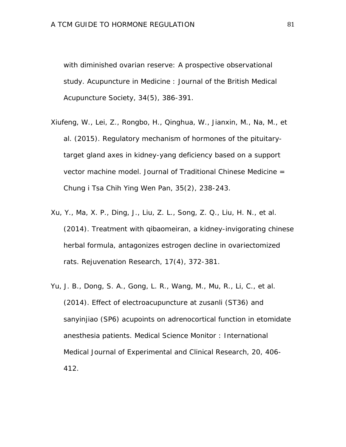with diminished ovarian reserve: A prospective observational study. *Acupuncture in Medicine : Journal of the British Medical Acupuncture Society, 34*(5), 386-391.

- Xiufeng, W., Lei, Z., Rongbo, H., Qinghua, W., Jianxin, M., Na, M., et al. (2015). Regulatory mechanism of hormones of the pituitarytarget gland axes in kidney-yang deficiency based on a support vector machine model. *Journal of Traditional Chinese Medicine = Chung i Tsa Chih Ying Wen Pan, 35*(2), 238-243.
- Xu, Y., Ma, X. P., Ding, J., Liu, Z. L., Song, Z. Q., Liu, H. N., et al. (2014). Treatment with qibaomeiran, a kidney-invigorating chinese herbal formula, antagonizes estrogen decline in ovariectomized rats. *Rejuvenation Research, 17*(4), 372-381.
- Yu, J. B., Dong, S. A., Gong, L. R., Wang, M., Mu, R., Li, C., et al. (2014). Effect of electroacupuncture at zusanli (ST36) and sanyinjiao (SP6) acupoints on adrenocortical function in etomidate anesthesia patients. *Medical Science Monitor : International Medical Journal of Experimental and Clinical Research, 20*, 406- 412.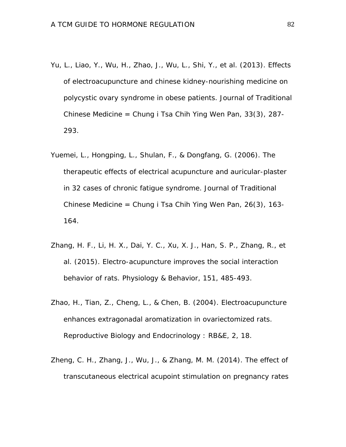- Yu, L., Liao, Y., Wu, H., Zhao, J., Wu, L., Shi, Y., et al. (2013). Effects of electroacupuncture and chinese kidney-nourishing medicine on polycystic ovary syndrome in obese patients. *Journal of Traditional Chinese Medicine = Chung i Tsa Chih Ying Wen Pan, 33*(3), 287- 293.
- Yuemei, L., Hongping, L., Shulan, F., & Dongfang, G. (2006). The therapeutic effects of electrical acupuncture and auricular-plaster in 32 cases of chronic fatigue syndrome. *Journal of Traditional Chinese Medicine = Chung i Tsa Chih Ying Wen Pan, 26*(3), 163- 164.
- Zhang, H. F., Li, H. X., Dai, Y. C., Xu, X. J., Han, S. P., Zhang, R., et al. (2015). Electro-acupuncture improves the social interaction behavior of rats. *Physiology & Behavior, 151*, 485-493.
- Zhao, H., Tian, Z., Cheng, L., & Chen, B. (2004). Electroacupuncture enhances extragonadal aromatization in ovariectomized rats. *Reproductive Biology and Endocrinology : RB&E, 2*, 18.
- Zheng, C. H., Zhang, J., Wu, J., & Zhang, M. M. (2014). The effect of transcutaneous electrical acupoint stimulation on pregnancy rates